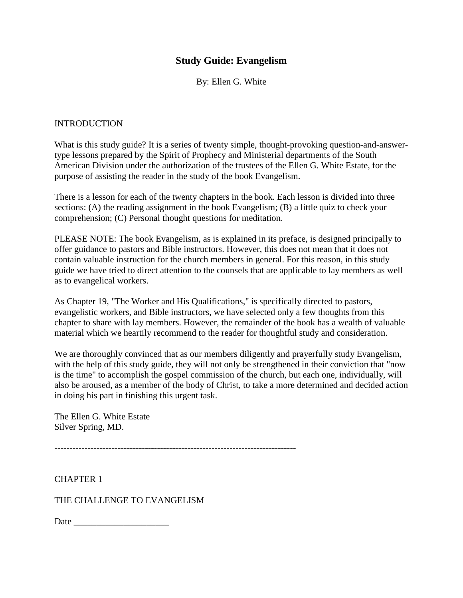## **Study Guide: Evangelism**

By: Ellen G. White

#### INTRODUCTION

What is this study guide? It is a series of twenty simple, thought-provoking question-and-answertype lessons prepared by the Spirit of Prophecy and Ministerial departments of the South American Division under the authorization of the trustees of the Ellen G. White Estate, for the purpose of assisting the reader in the study of the book Evangelism.

There is a lesson for each of the twenty chapters in the book. Each lesson is divided into three sections: (A) the reading assignment in the book Evangelism; (B) a little quiz to check your comprehension; (C) Personal thought questions for meditation.

PLEASE NOTE: The book Evangelism, as is explained in its preface, is designed principally to offer guidance to pastors and Bible instructors. However, this does not mean that it does not contain valuable instruction for the church members in general. For this reason, in this study guide we have tried to direct attention to the counsels that are applicable to lay members as well as to evangelical workers.

As Chapter 19, "The Worker and His Qualifications," is specifically directed to pastors, evangelistic workers, and Bible instructors, we have selected only a few thoughts from this chapter to share with lay members. However, the remainder of the book has a wealth of valuable material which we heartily recommend to the reader for thoughtful study and consideration.

We are thoroughly convinced that as our members diligently and prayerfully study Evangelism, with the help of this study guide, they will not only be strengthened in their conviction that "now is the time" to accomplish the gospel commission of the church, but each one, individually, will also be aroused, as a member of the body of Christ, to take a more determined and decided action in doing his part in finishing this urgent task.

The Ellen G. White Estate Silver Spring, MD.

CHAPTER 1

THE CHALLENGE TO EVANGELISM

| Date |  |
|------|--|
|------|--|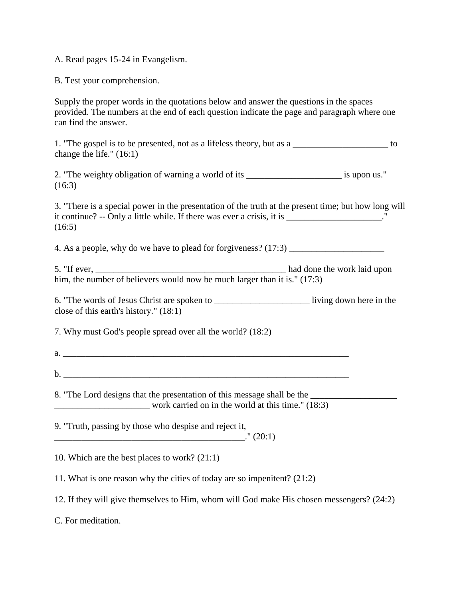A. Read pages 15-24 in Evangelism.

B. Test your comprehension.

Supply the proper words in the quotations below and answer the questions in the spaces provided. The numbers at the end of each question indicate the page and paragraph where one can find the answer.

1. "The gospel is to be presented, not as a lifeless theory, but as a \_\_\_\_\_\_\_\_\_\_\_\_\_\_\_\_\_\_\_\_\_ to change the life." (16:1)

2. "The weighty obligation of warning a world of its is upon us." (16:3)

3. "There is a special power in the presentation of the truth at the present time; but how long will it continue? -- Only a little while. If there was ever a crisis, it is \_\_\_\_\_\_\_\_\_\_\_\_\_\_\_\_\_\_\_\_."  $(16:5)$ 

4. As a people, why do we have to plead for forgiveness? (17:3) \_\_\_\_\_\_\_\_\_\_\_\_\_\_\_\_\_\_\_\_\_

5. "If ever, the same state of the work laid upon had done the work laid upon him, the number of believers would now be much larger than it is." (17:3)

6. "The words of Jesus Christ are spoken to \_\_\_\_\_\_\_\_\_\_\_\_\_\_\_\_\_\_\_\_\_ living down here in the close of this earth's history." (18:1)

7. Why must God's people spread over all the world? (18:2)

a.  $\frac{1}{2}$  .  $\frac{1}{2}$  .  $\frac{1}{2}$  .  $\frac{1}{2}$  .  $\frac{1}{2}$  .  $\frac{1}{2}$  .  $\frac{1}{2}$  .  $\frac{1}{2}$  .  $\frac{1}{2}$  .  $\frac{1}{2}$  .  $\frac{1}{2}$  .  $\frac{1}{2}$  .  $\frac{1}{2}$  .  $\frac{1}{2}$  .  $\frac{1}{2}$  .  $\frac{1}{2}$  .  $\frac{1}{2}$  .  $\frac{1}{2}$  .  $\$ 

 ${\bf b.}$ 

8. "The Lord designs that the presentation of this message shall be the work carried on in the world at this time." (18:3)

9. "Truth, passing by those who despise and reject it,  $\therefore$  (20:1)

10. Which are the best places to work? (21:1)

11. What is one reason why the cities of today are so impenitent? (21:2)

12. If they will give themselves to Him, whom will God make His chosen messengers? (24:2)

C. For meditation.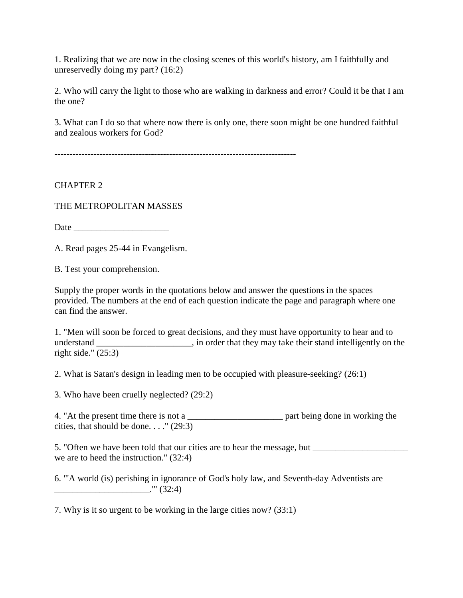1. Realizing that we are now in the closing scenes of this world's history, am I faithfully and unreservedly doing my part? (16:2)

2. Who will carry the light to those who are walking in darkness and error? Could it be that I am the one?

3. What can I do so that where now there is only one, there soon might be one hundred faithful and zealous workers for God?

--------------------------------------------------------------------------------

CHAPTER 2

THE METROPOLITAN MASSES

Date \_\_\_\_\_\_\_\_\_\_\_\_\_\_\_\_\_\_\_\_\_

A. Read pages 25-44 in Evangelism.

B. Test your comprehension.

Supply the proper words in the quotations below and answer the questions in the spaces provided. The numbers at the end of each question indicate the page and paragraph where one can find the answer.

1. "Men will soon be forced to great decisions, and they must have opportunity to hear and to understand \_\_\_\_\_\_\_\_\_\_\_\_\_\_\_\_\_\_, in order that they may take their stand intelligently on the right side." (25:3)

2. What is Satan's design in leading men to be occupied with pleasure-seeking? (26:1)

3. Who have been cruelly neglected? (29:2)

4. "At the present time there is not a \_\_\_\_\_\_\_\_\_\_\_\_\_\_\_\_\_\_\_\_\_ part being done in working the cities, that should be done...."  $(29:3)$ 

5. "Often we have been told that our cities are to hear the message, but \_\_\_\_\_\_\_\_\_\_\_\_\_\_\_\_\_\_\_\_\_ we are to heed the instruction." (32:4)

6. "'A world (is) perishing in ignorance of God's holy law, and Seventh-day Adventists are \_\_\_\_\_\_\_\_\_\_\_\_\_\_\_\_\_\_\_\_\_.'" (32:4)

7. Why is it so urgent to be working in the large cities now? (33:1)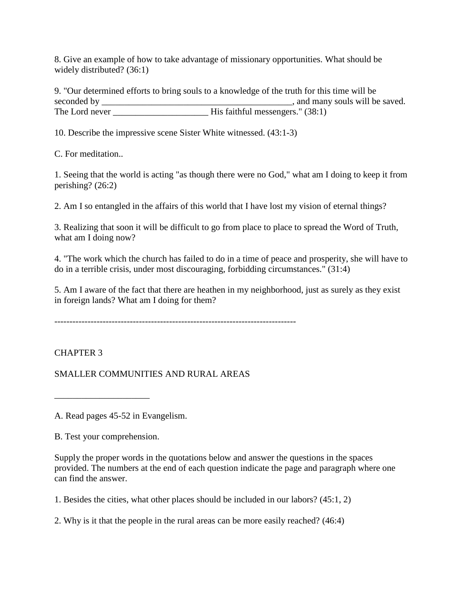8. Give an example of how to take advantage of missionary opportunities. What should be widely distributed? (36:1)

9. "Our determined efforts to bring souls to a knowledge of the truth for this time will be seconded by \_\_\_\_\_\_\_\_\_\_\_\_\_\_\_\_\_\_\_\_\_\_\_\_\_\_\_\_\_\_\_\_\_\_\_\_\_\_\_\_\_\_, and many souls will be saved. The Lord never \_\_\_\_\_\_\_\_\_\_\_\_\_\_\_\_\_\_\_\_\_ His faithful messengers." (38:1)

10. Describe the impressive scene Sister White witnessed. (43:1-3)

C. For meditation..

1. Seeing that the world is acting "as though there were no God," what am I doing to keep it from perishing? (26:2)

2. Am I so entangled in the affairs of this world that I have lost my vision of eternal things?

3. Realizing that soon it will be difficult to go from place to place to spread the Word of Truth, what am I doing now?

4. "The work which the church has failed to do in a time of peace and prosperity, she will have to do in a terrible crisis, under most discouraging, forbidding circumstances." (31:4)

5. Am I aware of the fact that there are heathen in my neighborhood, just as surely as they exist in foreign lands? What am I doing for them?

--------------------------------------------------------------------------------

# CHAPTER 3

SMALLER COMMUNITIES AND RURAL AREAS

A. Read pages 45-52 in Evangelism.

B. Test your comprehension.

\_\_\_\_\_\_\_\_\_\_\_\_\_\_\_\_\_\_\_\_\_

Supply the proper words in the quotations below and answer the questions in the spaces provided. The numbers at the end of each question indicate the page and paragraph where one can find the answer.

1. Besides the cities, what other places should be included in our labors? (45:1, 2)

2. Why is it that the people in the rural areas can be more easily reached? (46:4)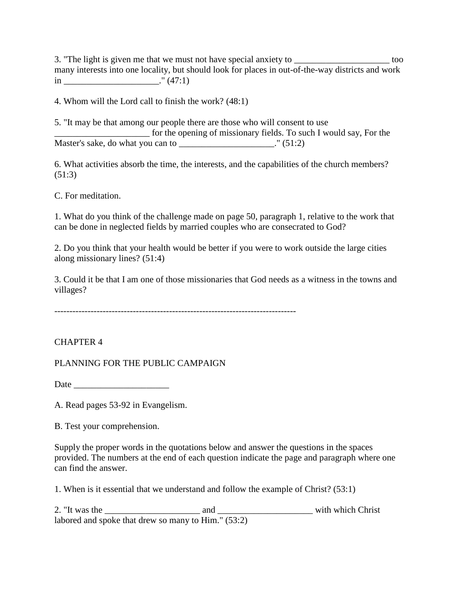3. "The light is given me that we must not have special anxiety to \_\_\_\_\_\_\_\_\_\_\_\_\_\_\_\_\_\_\_\_\_\_\_\_ too many interests into one locality, but should look for places in out-of-the-way districts and work  $\sin$  \_\_\_\_\_\_\_\_\_\_\_\_\_\_\_\_\_\_\_\_\_\_\_\_." (47:1)

4. Whom will the Lord call to finish the work? (48:1)

5. "It may be that among our people there are those who will consent to use \_\_\_\_\_\_\_\_\_\_\_\_\_\_\_\_\_\_\_\_\_ for the opening of missionary fields. To such I would say, For the Master's sake, do what you can to \_\_\_\_\_\_\_\_\_\_\_\_\_\_\_\_\_\_\_\_\_." (51:2)

6. What activities absorb the time, the interests, and the capabilities of the church members? (51:3)

C. For meditation.

1. What do you think of the challenge made on page 50, paragraph 1, relative to the work that can be done in neglected fields by married couples who are consecrated to God?

2. Do you think that your health would be better if you were to work outside the large cities along missionary lines? (51:4)

3. Could it be that I am one of those missionaries that God needs as a witness in the towns and villages?

--------------------------------------------------------------------------------

## CHAPTER 4

PLANNING FOR THE PUBLIC CAMPAIGN

Date \_\_\_\_\_\_\_\_\_\_\_\_\_\_\_\_\_\_\_\_\_

A. Read pages 53-92 in Evangelism.

B. Test your comprehension.

Supply the proper words in the quotations below and answer the questions in the spaces provided. The numbers at the end of each question indicate the page and paragraph where one can find the answer.

1. When is it essential that we understand and follow the example of Christ? (53:1)

2. "It was the \_\_\_\_\_\_\_\_\_\_\_\_\_\_\_\_\_\_\_\_\_ and \_\_\_\_\_\_\_\_\_\_\_\_\_\_\_\_\_\_\_\_\_ with which Christ labored and spoke that drew so many to Him." (53:2)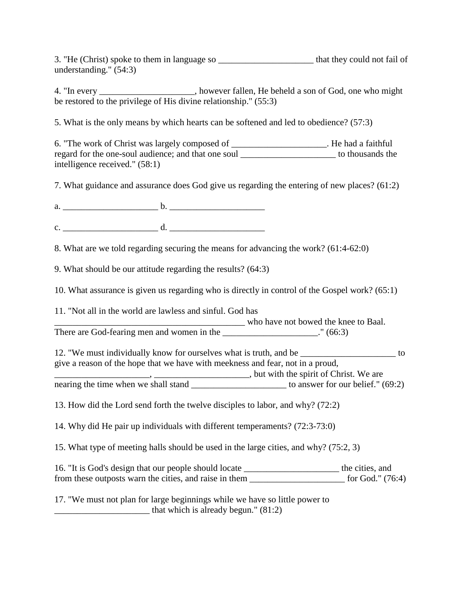3. "He (Christ) spoke to them in language so the they could not fail of understanding." (54:3)

4. "In every \_\_\_\_\_\_\_\_\_\_\_\_\_\_\_\_\_\_\_\_\_, however fallen, He beheld a son of God, one who might be restored to the privilege of His divine relationship." (55:3)

5. What is the only means by which hearts can be softened and led to obedience? (57:3)

6. "The work of Christ was largely composed of \_\_\_\_\_\_\_\_\_\_\_\_\_\_\_\_\_\_\_\_\_. He had a faithful regard for the one-soul audience; and that one soul to thousands the to thousands the intelligence received." (58:1)

7. What guidance and assurance does God give us regarding the entering of new places? (61:2)

a.  $\qquad \qquad$  b. c. \_\_\_\_\_\_\_\_\_\_\_\_\_\_\_\_\_\_\_\_\_ d. \_\_\_\_\_\_\_\_\_\_\_\_\_\_\_\_\_\_\_\_\_

8. What are we told regarding securing the means for advancing the work? (61:4-62:0)

9. What should be our attitude regarding the results? (64:3)

10. What assurance is given us regarding who is directly in control of the Gospel work? (65:1)

11. "Not all in the world are lawless and sinful. God has

\_\_\_\_\_\_\_\_\_\_\_\_\_\_\_\_\_\_\_\_\_\_\_\_\_\_\_\_\_\_\_\_\_\_\_\_\_\_\_\_\_\_ who have not bowed the knee to Baal.

There are God-fearing men and women in the \_\_\_\_\_\_\_\_\_\_\_\_\_\_\_\_\_\_\_\_\_." (66:3)

12. "We must individually know for ourselves what is truth, and be \_\_\_\_\_\_\_\_\_\_\_\_\_\_\_\_\_\_\_\_\_ to give a reason of the hope that we have with meekness and fear, not in a proud, \_\_\_\_\_\_\_\_\_\_\_\_\_\_\_\_\_\_\_\_\_, \_\_\_\_\_\_\_\_\_\_\_\_\_\_\_\_\_\_\_\_\_, but with the spirit of Christ. We are

nearing the time when we shall stand \_\_\_\_\_\_\_\_\_\_\_\_\_\_\_\_\_\_\_\_\_ to answer for our belief." (69:2)

13. How did the Lord send forth the twelve disciples to labor, and why? (72:2)

14. Why did He pair up individuals with different temperaments? (72:3-73:0)

15. What type of meeting halls should be used in the large cities, and why? (75:2, 3)

16. "It is God's design that our people should locate \_\_\_\_\_\_\_\_\_\_\_\_\_\_\_\_\_\_\_\_\_ the cities, and from these outposts warn the cities, and raise in them  $\frac{1}{2}$  for God." (76:4)

17. "We must not plan for large beginnings while we have so little power to that which is already begun."  $(81:2)$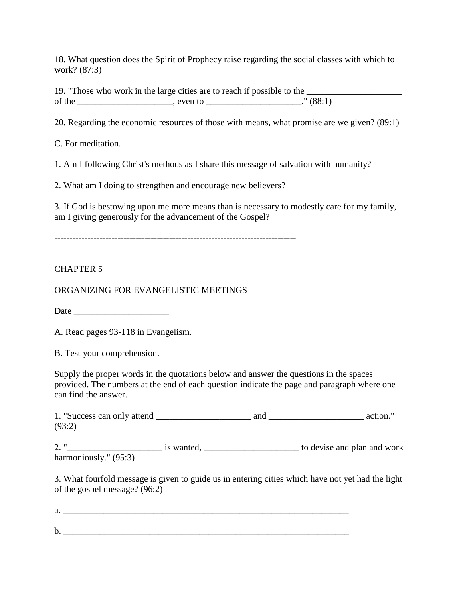18. What question does the Spirit of Prophecy raise regarding the social classes with which to work? (87:3)

19. "Those who work in the large cities are to reach if possible to the \_\_\_\_\_\_\_\_\_\_\_\_\_\_\_\_\_\_\_\_\_ of the set of the set of the set of the set of the set of the set of the set of the set of the set of the set of the set of the set of the set of the set of the set of the set of the set of the set of the set of the set o

20. Regarding the economic resources of those with means, what promise are we given? (89:1)

C. For meditation.

1. Am I following Christ's methods as I share this message of salvation with humanity?

2. What am I doing to strengthen and encourage new believers?

3. If God is bestowing upon me more means than is necessary to modestly care for my family, am I giving generously for the advancement of the Gospel?

--------------------------------------------------------------------------------

#### CHAPTER 5

ORGANIZING FOR EVANGELISTIC MEETINGS

Date \_\_\_\_\_\_\_\_\_\_\_\_\_\_\_\_\_\_\_\_\_

A. Read pages 93-118 in Evangelism.

B. Test your comprehension.

Supply the proper words in the quotations below and answer the questions in the spaces provided. The numbers at the end of each question indicate the page and paragraph where one can find the answer.

1. "Success can only attend \_\_\_\_\_\_\_\_\_\_\_\_\_\_\_\_\_\_\_\_\_ and \_\_\_\_\_\_\_\_\_\_\_\_\_\_\_\_\_\_\_\_\_ action." (93:2)

2. "\_\_\_\_\_\_\_\_\_\_\_\_\_\_\_\_\_\_\_\_\_ is wanted, \_\_\_\_\_\_\_\_\_\_\_\_\_\_\_\_\_\_\_\_\_ to devise and plan and work harmoniously." (95:3)

3. What fourfold message is given to guide us in entering cities which have not yet had the light of the gospel message? (96:2)

| a. |           |  |
|----|-----------|--|
|    |           |  |
| b. | _________ |  |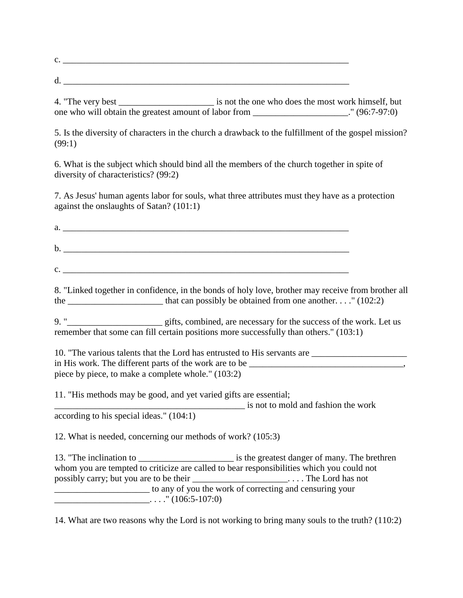| ⌒<br>$\checkmark$ |  |
|-------------------|--|
|                   |  |
| ີ                 |  |

4. "The very best is not the one who does the most work himself, but one who will obtain the greatest amount of labor from \_\_\_\_\_\_\_\_\_\_\_\_\_\_\_\_\_\_\_\_\_." (96:7-97:0)

5. Is the diversity of characters in the church a drawback to the fulfillment of the gospel mission? (99:1)

6. What is the subject which should bind all the members of the church together in spite of diversity of characteristics? (99:2)

7. As Jesus' human agents labor for souls, what three attributes must they have as a protection against the onslaughts of Satan? (101:1)

 $\mathbf{b}$ .  $\blacksquare$  $c.$ 

 $a.$ 

8. "Linked together in confidence, in the bonds of holy love, brother may receive from brother all the \_\_\_\_\_\_\_\_\_\_\_\_\_\_\_\_\_\_\_\_\_\_\_\_\_ that can possibly be obtained from one another. . . ." (102:2)

9. "\_\_\_\_\_\_\_\_\_\_\_\_\_\_\_\_\_\_\_\_\_\_\_\_ gifts, combined, are necessary for the success of the work. Let us remember that some can fill certain positions more successfully than others." (103:1)

10. "The various talents that the Lord has entrusted to His servants are  $\Box$ in His work. The different parts of the work are to be \_\_\_\_\_\_\_\_\_\_\_\_\_\_\_\_\_\_\_\_\_\_\_\_\_\_ piece by piece, to make a complete whole." (103:2)

11. "His methods may be good, and yet varied gifts are essential;

\_\_\_\_\_\_\_\_\_\_\_\_\_\_\_\_\_\_\_\_\_\_\_\_\_\_\_\_\_\_\_\_\_\_\_\_\_\_\_\_\_\_ is not to mold and fashion the work

according to his special ideas." (104:1)

12. What is needed, concerning our methods of work? (105:3)

13. "The inclination to  $\qquad \qquad$  is the greatest danger of many. The brethren whom you are tempted to criticize are called to bear responsibilities which you could not possibly carry; but you are to be their \_\_\_\_\_\_\_\_\_\_\_\_\_\_\_\_\_\_\_\_\_\_\_...... The Lord has not \_\_\_\_\_\_\_\_\_\_\_\_\_\_\_\_\_\_\_\_\_ to any of you the work of correcting and censuring your  $\ldots$ ." (106:5-107:0)

14. What are two reasons why the Lord is not working to bring many souls to the truth? (110:2)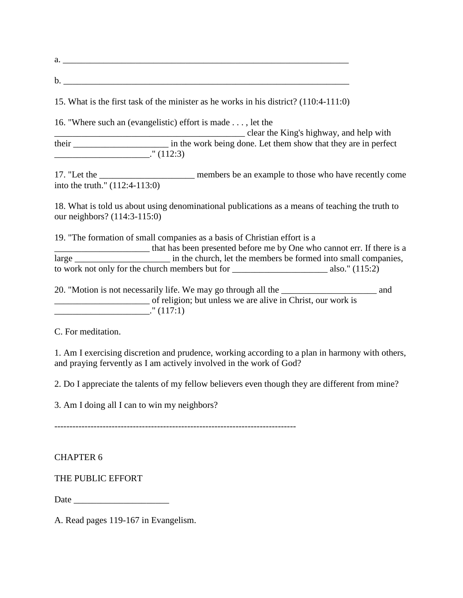15. What is the first task of the minister as he works in his district? (110:4-111:0) 16. "Where such an (evangelistic) effort is made . . . , let the \_\_\_\_\_\_\_\_\_\_\_\_\_\_\_\_\_\_\_\_\_\_\_\_\_\_\_\_\_\_\_\_\_\_\_\_\_\_\_\_\_\_ clear the King's highway, and help with their \_\_\_\_\_\_\_\_\_\_\_\_\_\_\_\_\_\_\_\_\_ in the work being done. Let them show that they are in perfect  $\cdot$ " (112:3) 17. "Let the \_\_\_\_\_\_\_\_\_\_\_\_\_\_\_\_\_\_\_\_\_ members be an example to those who have recently come into the truth." (112:4-113:0) 18. What is told us about using denominational publications as a means of teaching the truth to our neighbors? (114:3-115:0) 19. "The formation of small companies as a basis of Christian effort is a \_\_\_\_\_\_\_\_\_\_\_\_\_\_\_\_\_\_\_\_\_ that has been presented before me by One who cannot err. If there is a large \_\_\_\_\_\_\_\_\_\_\_\_\_\_\_\_\_\_\_\_\_\_\_\_\_ in the church, let the members be formed into small companies, to work not only for the church members but for \_\_\_\_\_\_\_\_\_\_\_\_\_\_\_\_\_\_\_\_\_ also." (115:2) 20. "Motion is not necessarily life. We may go through all the \_\_\_\_\_\_\_\_\_\_\_\_\_\_\_\_\_\_\_\_\_ and \_\_\_\_\_\_\_\_\_\_\_\_\_\_\_\_\_\_\_\_\_ of religion; but unless we are alive in Christ, our work is  $\frac{1}{2}$  (117:1)

C. For meditation.

1. Am I exercising discretion and prudence, working according to a plan in harmony with others, and praying fervently as I am actively involved in the work of God?

2. Do I appreciate the talents of my fellow believers even though they are different from mine?

3. Am I doing all I can to win my neighbors?

--------------------------------------------------------------------------------

#### CHAPTER 6

## THE PUBLIC EFFORT

Date  $\Box$ 

A. Read pages 119-167 in Evangelism.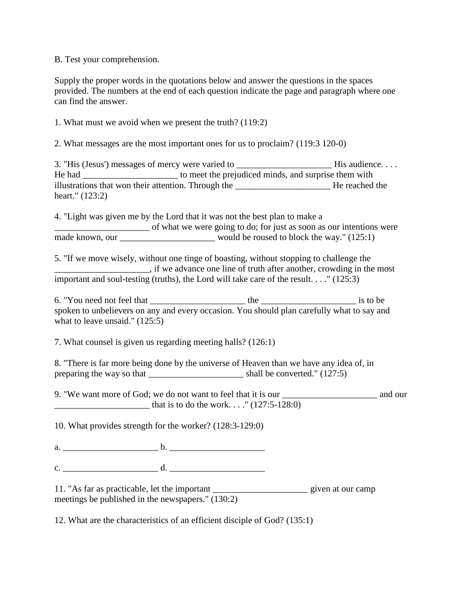B. Test your comprehension.

Supply the proper words in the quotations below and answer the questions in the spaces provided. The numbers at the end of each question indicate the page and paragraph where one can find the answer.

1. What must we avoid when we present the truth? (119:2)

2. What messages are the most important ones for us to proclaim? (119:3 120-0)

3. "His (Jesus') messages of mercy were varied to \_\_\_\_\_\_\_\_\_\_\_\_\_\_\_\_\_\_\_\_\_\_\_\_\_\_\_\_\_\_His audience. . . . He had to meet the prejudiced minds, and surprise them with illustrations that won their attention. Through the \_\_\_\_\_\_\_\_\_\_\_\_\_\_\_\_\_\_\_\_\_ He reached the heart." (123:2)

4. "Light was given me by the Lord that it was not the best plan to make a \_\_\_\_\_\_\_\_\_\_\_\_\_\_\_\_\_\_\_\_\_ of what we were going to do; for just as soon as our intentions were made known, our would be roused to block the way."  $(125:1)$ 

5. "If we move wisely, without one tinge of boasting, without stopping to challenge the \_\_\_\_\_\_\_\_\_\_\_\_\_\_\_\_\_\_\_\_\_, if we advance one line of truth after another, crowding in the most important and soul-testing (truths), the Lord will take care of the result. . . ." (125:3)

6. "You need not feel that \_\_\_\_\_\_\_\_\_\_\_\_\_\_\_\_\_\_\_\_\_ the \_\_\_\_\_\_\_\_\_\_\_\_\_\_\_\_\_\_\_\_\_ is to be spoken to unbelievers on any and every occasion. You should plan carefully what to say and what to leave unsaid." (125:5)

7. What counsel is given us regarding meeting halls? (126:1)

8. "There is far more being done by the universe of Heaven than we have any idea of, in preparing the way so that shall be converted." (127:5)

9. "We want more of God; we do not want to feel that it is our and our and our that is to do the work. . . . "  $(127:5-128:0)$ 

10. What provides strength for the worker? (128:3-129:0)

a.  $\qquad \qquad$  b.

c. \_\_\_\_\_\_\_\_\_\_\_\_\_\_\_\_\_\_\_\_\_ d. \_\_\_\_\_\_\_\_\_\_\_\_\_\_\_\_\_\_\_\_\_

11. "As far as practicable, let the important \_\_\_\_\_\_\_\_\_\_\_\_\_\_\_\_\_\_\_\_\_ given at our camp meetings be published in the newspapers." (130:2)

12. What are the characteristics of an efficient disciple of God? (135:1)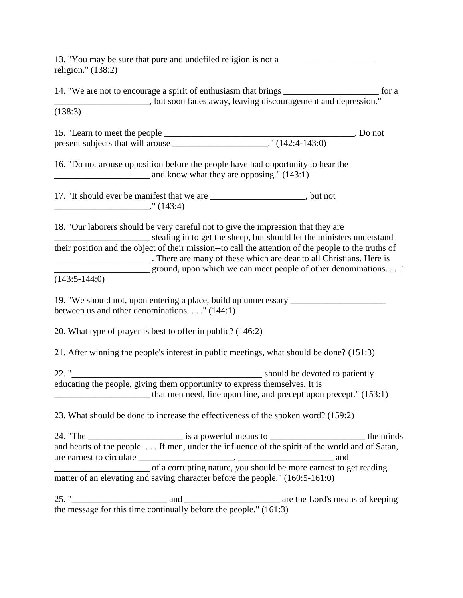13. "You may be sure that pure and undefiled religion is not a religion." (138:2)

14. "We are not to encourage a spirit of enthusiasm that brings \_\_\_\_\_\_\_\_\_\_\_\_\_\_\_\_\_\_\_\_\_ for a \_\_\_\_\_\_\_\_\_\_\_\_\_\_\_\_\_\_\_\_\_, but soon fades away, leaving discouragement and depression." (138:3) 15. "Learn to meet the people \_\_\_\_\_\_\_\_\_\_\_\_\_\_\_\_\_\_\_\_\_\_\_\_\_\_\_\_\_\_\_\_\_\_\_\_\_\_\_\_\_\_. Do not present subjects that will arouse \_\_\_\_\_\_\_\_\_\_\_\_\_\_\_\_\_\_\_\_\_\_\_\_." (142:4-143:0) 16. "Do not arouse opposition before the people have had opportunity to hear the \_\_\_\_\_\_\_\_\_\_\_\_\_\_\_\_\_\_\_\_\_ and know what they are opposing." (143:1) 17. "It should ever be manifest that we are \_\_\_\_\_\_\_\_\_\_\_\_\_\_\_\_\_\_\_\_, but not \_\_\_\_\_\_\_\_\_\_\_\_\_\_\_\_\_\_\_\_\_." (143:4) 18. "Our laborers should be very careful not to give the impression that they are stealing in to get the sheep, but should let the ministers understand their position and the object of their mission--to call the attention of the people to the truths of \_\_\_\_\_\_\_\_\_\_\_\_\_\_\_\_\_\_\_\_\_ . There are many of these which are dear to all Christians. Here is \_\_\_\_\_\_\_\_\_\_\_\_\_\_\_\_\_\_\_\_\_ ground, upon which we can meet people of other denominations. . . ."  $(143:5-144:0)$ 19. "We should not, upon entering a place, build up unnecessary \_\_\_\_\_\_\_\_\_\_\_\_\_\_\_\_\_ between us and other denominations. . . ." (144:1) 20. What type of prayer is best to offer in public? (146:2) 21. After winning the people's interest in public meetings, what should be done? (151:3) 22. "\_\_\_\_\_\_\_\_\_\_\_\_\_\_\_\_\_\_\_\_\_\_\_\_\_\_\_\_\_\_\_\_\_\_\_\_\_\_\_\_\_\_ should be devoted to patiently educating the people, giving them opportunity to express themselves. It is \_\_\_\_\_\_\_\_\_\_\_\_\_\_\_\_\_\_\_\_\_ that men need, line upon line, and precept upon precept." (153:1) 23. What should be done to increase the effectiveness of the spoken word? (159:2) 24. "The \_\_\_\_\_\_\_\_\_\_\_\_\_\_\_\_\_\_\_\_\_ is a powerful means to \_\_\_\_\_\_\_\_\_\_\_\_\_\_\_\_\_\_\_\_\_ the minds and hearts of the people. . . . If men, under the influence of the spirit of the world and of Satan, are earnest to circulate \_\_\_\_\_\_\_\_\_\_\_\_\_\_\_\_\_\_\_\_\_, \_\_\_\_\_\_\_\_\_\_\_\_\_\_\_\_\_\_\_\_\_ and of a corrupting nature, you should be more earnest to get reading matter of an elevating and saving character before the people." (160:5-161:0) 25. " and and and and and  $\alpha$  are the Lord's means of keeping

the message for this time continually before the people." (161:3)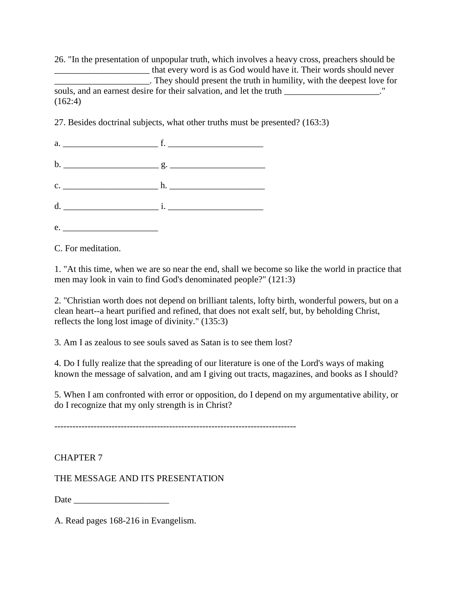26. "In the presentation of unpopular truth, which involves a heavy cross, preachers should be \_\_\_\_\_\_\_\_\_\_\_\_\_\_\_\_\_\_\_\_\_ that every word is as God would have it. Their words should never \_\_\_\_\_\_\_\_\_\_\_\_\_\_\_\_\_\_\_\_\_. They should present the truth in humility, with the deepest love for souls, and an earnest desire for their salvation, and let the truth \_\_\_\_\_\_\_\_\_\_\_\_\_\_\_\_\_\_\_." (162:4)

27. Besides doctrinal subjects, what other truths must be presented? (163:3)

| e. |  |
|----|--|

C. For meditation.

1. "At this time, when we are so near the end, shall we become so like the world in practice that men may look in vain to find God's denominated people?" (121:3)

2. "Christian worth does not depend on brilliant talents, lofty birth, wonderful powers, but on a clean heart--a heart purified and refined, that does not exalt self, but, by beholding Christ, reflects the long lost image of divinity." (135:3)

3. Am I as zealous to see souls saved as Satan is to see them lost?

4. Do I fully realize that the spreading of our literature is one of the Lord's ways of making known the message of salvation, and am I giving out tracts, magazines, and books as I should?

5. When I am confronted with error or opposition, do I depend on my argumentative ability, or do I recognize that my only strength is in Christ?

--------------------------------------------------------------------------------

## CHAPTER 7

THE MESSAGE AND ITS PRESENTATION

Date  $\Box$ 

A. Read pages 168-216 in Evangelism.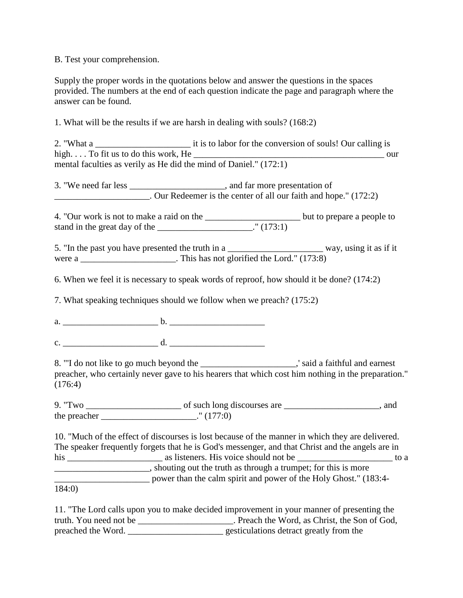B. Test your comprehension.

Supply the proper words in the quotations below and answer the questions in the spaces provided. The numbers at the end of each question indicate the page and paragraph where the answer can be found.

1. What will be the results if we are harsh in dealing with souls? (168:2)

2. "What a  $\qquad \qquad$  it is to labor for the conversion of souls! Our calling is high.  $\ldots$  To fit us to do this work, He  $\ldots$ mental faculties as verily as He did the mind of Daniel." (172:1)

3. "We need far less \_\_\_\_\_\_\_\_\_\_\_\_\_\_\_\_\_\_\_\_\_, and far more presentation of \_\_\_\_\_\_\_\_\_\_\_\_\_\_\_\_\_\_\_\_\_. Our Redeemer is the center of all our faith and hope." (172:2)

4. "Our work is not to make a raid on the \_\_\_\_\_\_\_\_\_\_\_\_\_\_\_\_\_\_\_\_\_ but to prepare a people to stand in the great day of the  $\frac{1}{2}$  (173:1)

5. "In the past you have presented the truth in a \_\_\_\_\_\_\_\_\_\_\_\_\_\_\_\_\_\_\_\_\_\_\_\_\_\_\_ way, using it as if it were a \_\_\_\_\_\_\_\_\_\_\_\_\_\_\_\_\_\_\_\_. This has not glorified the Lord." (173:8)

6. When we feel it is necessary to speak words of reproof, how should it be done? (174:2)

7. What speaking techniques should we follow when we preach? (175:2)

a. \_\_\_\_\_\_\_\_\_\_\_\_\_\_\_\_\_\_\_\_\_ b. \_\_\_\_\_\_\_\_\_\_\_\_\_\_\_\_\_\_\_\_\_

 $c.$   $d.$ 

8. "'I do not like to go much beyond the \_\_\_\_\_\_\_\_\_\_\_\_\_\_\_\_\_\_\_\_\_,' said a faithful and earnest preacher, who certainly never gave to his hearers that which cost him nothing in the preparation." (176:4)

9. "Two \_\_\_\_\_\_\_\_\_\_\_\_\_\_\_\_\_\_\_\_\_ of such long discourses are \_\_\_\_\_\_\_\_\_\_\_\_\_\_\_\_\_\_\_\_\_, and the preacher  $\cdot$  " (177:0)

10. "Much of the effect of discourses is lost because of the manner in which they are delivered. The speaker frequently forgets that he is God's messenger, and that Christ and the angels are in his \_\_\_\_\_\_\_\_\_\_\_\_\_\_\_\_\_\_\_\_\_ as listeners. His voice should not be \_\_\_\_\_\_\_\_\_\_\_\_\_\_\_\_\_\_\_\_\_ to a \_\_\_\_\_\_\_\_\_\_\_\_\_\_\_\_\_\_\_\_\_, shouting out the truth as through a trumpet; for this is more \_\_\_\_\_\_\_\_\_\_\_\_\_\_\_\_\_\_\_\_\_ power than the calm spirit and power of the Holy Ghost." (183:4-

184:0)

11. "The Lord calls upon you to make decided improvement in your manner of presenting the truth. You need not be \_\_\_\_\_\_\_\_\_\_\_\_\_\_\_\_\_\_\_\_\_. Preach the Word, as Christ, the Son of God, preached the Word. \_\_\_\_\_\_\_\_\_\_\_\_\_\_\_\_\_\_\_\_\_ gesticulations detract greatly from the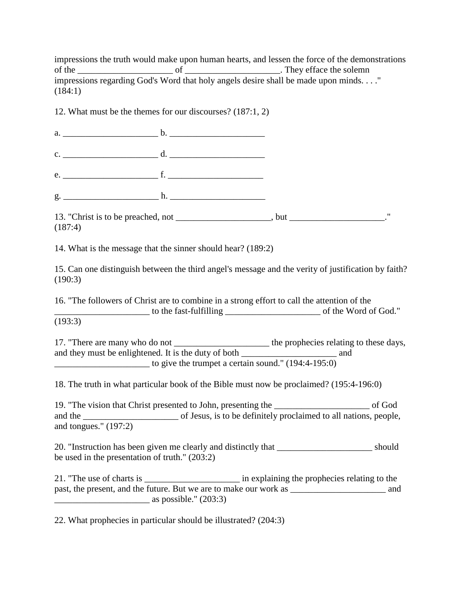impressions the truth would make upon human hearts, and lessen the force of the demonstrations of the  $\frac{1}{\sqrt{2}}$  of  $\frac{1}{\sqrt{2}}$  of  $\frac{1}{\sqrt{2}}$ . They efface the solemn impressions regarding God's Word that holy angels desire shall be made upon minds. . . ." (184:1)

12. What must be the themes for our discourses? (187:1, 2)

a.  $\frac{b}{c}$ .  $\frac{b}{c}$ c. \_\_\_\_\_\_\_\_\_\_\_\_\_\_\_\_\_\_\_\_\_ d. \_\_\_\_\_\_\_\_\_\_\_\_\_\_\_\_\_\_\_\_\_ e. <u>f.</u>  $g.$  h.

13. "Christ is to be preached, not example the state of  $\mu$ , but  $\mu$ (187:4)

14. What is the message that the sinner should hear? (189:2)

15. Can one distinguish between the third angel's message and the verity of justification by faith? (190:3)

16. "The followers of Christ are to combine in a strong effort to call the attention of the \_\_\_\_\_\_\_\_\_\_\_\_\_\_\_\_\_\_\_\_\_ to the fast-fulfilling \_\_\_\_\_\_\_\_\_\_\_\_\_\_\_\_\_\_\_\_\_ of the Word of God." (193:3)

17. "There are many who do not \_\_\_\_\_\_\_\_\_\_\_\_\_\_\_\_\_\_\_\_\_\_\_\_\_ the prophecies relating to these days, and they must be enlightened. It is the duty of both \_\_\_\_\_\_\_\_\_\_\_\_\_\_\_\_\_\_\_\_\_\_\_\_\_\_ and

\_\_\_\_\_\_\_\_\_\_\_\_\_\_\_\_\_\_\_\_\_ to give the trumpet a certain sound." (194:4-195:0)

18. The truth in what particular book of the Bible must now be proclaimed? (195:4-196:0)

19. "The vision that Christ presented to John, presenting the \_\_\_\_\_\_\_\_\_\_\_\_\_\_\_\_\_\_\_\_\_ of God and the of Jesus, is to be definitely proclaimed to all nations, people, and tongues." (197:2)

20. "Instruction has been given me clearly and distinctly that \_\_\_\_\_\_\_\_\_\_\_\_\_\_\_\_\_\_\_\_\_ should be used in the presentation of truth." (203:2)

21. "The use of charts is \_\_\_\_\_\_\_\_\_\_\_\_\_\_\_\_\_\_\_\_\_\_\_\_ in explaining the prophecies relating to the past, the present, and the future. But we are to make our work as \_\_\_\_\_\_\_\_\_\_\_\_\_\_\_\_\_\_\_\_\_ and as possible."  $(203:3)$ 

22. What prophecies in particular should be illustrated? (204:3)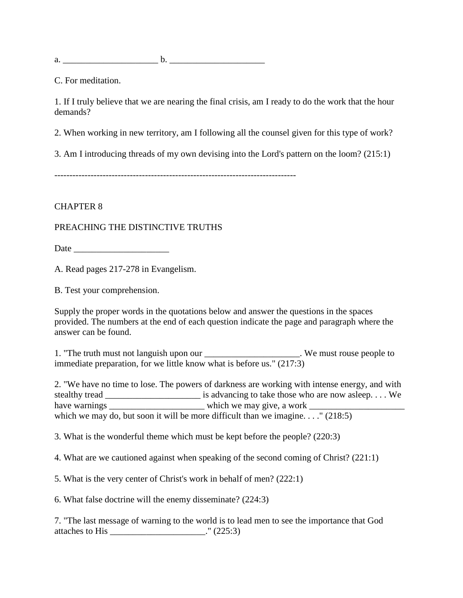a.  $\qquad \qquad$  b.

C. For meditation.

1. If I truly believe that we are nearing the final crisis, am I ready to do the work that the hour demands?

2. When working in new territory, am I following all the counsel given for this type of work?

3. Am I introducing threads of my own devising into the Lord's pattern on the loom? (215:1)

#### CHAPTER 8

#### PREACHING THE DISTINCTIVE TRUTHS

Date \_\_\_\_\_\_\_\_\_\_\_\_\_\_\_\_\_\_\_\_\_

A. Read pages 217-278 in Evangelism.

B. Test your comprehension.

Supply the proper words in the quotations below and answer the questions in the spaces provided. The numbers at the end of each question indicate the page and paragraph where the answer can be found.

1. "The truth must not languish upon our \_\_\_\_\_\_\_\_\_\_\_\_\_\_\_\_\_\_\_\_\_. We must rouse people to immediate preparation, for we little know what is before us."  $(217:3)$ 

2. "We have no time to lose. The powers of darkness are working with intense energy, and with stealthy tread \_\_\_\_\_\_\_\_\_\_\_\_\_\_\_\_\_\_\_\_\_ is advancing to take those who are now asleep. . . . We have warnings \_\_\_\_\_\_\_\_\_\_\_\_\_\_\_\_\_\_\_\_\_ which we may give, a work \_\_\_\_\_\_\_\_\_\_\_\_\_\_\_\_\_\_\_\_\_ which we may do, but soon it will be more difficult than we imagine. . . ." (218:5)

3. What is the wonderful theme which must be kept before the people? (220:3)

4. What are we cautioned against when speaking of the second coming of Christ? (221:1)

5. What is the very center of Christ's work in behalf of men? (222:1)

6. What false doctrine will the enemy disseminate? (224:3)

7. "The last message of warning to the world is to lead men to see the importance that God attaches to His \_\_\_\_\_\_\_\_\_\_\_\_\_\_\_\_\_\_\_\_\_." (225:3)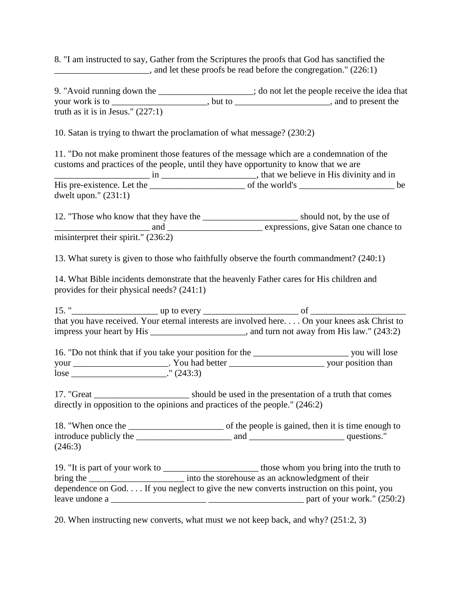8. "I am instructed to say, Gather from the Scriptures the proofs that God has sanctified the \_\_\_\_\_\_\_\_\_\_\_\_\_\_\_\_\_\_\_\_\_, and let these proofs be read before the congregation." (226:1)

9. "Avoid running down the \_\_\_\_\_\_\_\_\_\_\_\_\_\_\_\_\_\_\_; do not let the people receive the idea that your work is to \_\_\_\_\_\_\_\_\_\_\_\_\_\_\_\_\_\_\_\_\_\_\_, but to \_\_\_\_\_\_\_\_\_\_\_\_\_\_\_\_\_\_\_\_\_\_\_, and to present the truth as it is in Jesus." (227:1)

10. Satan is trying to thwart the proclamation of what message? (230:2)

11. "Do not make prominent those features of the message which are a condemnation of the customs and practices of the people, until they have opportunity to know that we are \_\_\_\_\_\_\_\_\_\_\_\_\_\_\_\_\_\_\_\_\_ in \_\_\_\_\_\_\_\_\_\_\_\_\_\_\_\_\_\_\_\_\_, that we believe in His divinity and in His pre-existence. Let the \_\_\_\_\_\_\_\_\_\_\_\_\_\_\_\_\_\_\_\_\_ of the world's \_\_\_\_\_\_\_\_\_\_\_\_\_\_\_\_\_\_\_\_\_ be

dwelt upon." (231:1)

12. "Those who know that they have the \_\_\_\_\_\_\_\_\_\_\_\_\_\_\_\_\_\_\_\_\_ should not, by the use of \_\_\_\_\_\_\_\_\_\_\_\_\_\_\_\_\_\_\_\_\_ and \_\_\_\_\_\_\_\_\_\_\_\_\_\_\_\_\_\_\_\_\_ expressions, give Satan one chance to misinterpret their spirit." (236:2)

13. What surety is given to those who faithfully observe the fourth commandment? (240:1)

14. What Bible incidents demonstrate that the heavenly Father cares for His children and provides for their physical needs? (241:1)

15. "\_\_\_\_\_\_\_\_\_\_\_\_\_\_\_\_\_\_\_ up to every \_\_\_\_\_\_\_\_\_\_\_\_\_\_\_\_\_\_\_\_\_ of \_\_\_\_\_\_\_\_\_\_\_\_\_\_\_\_\_\_\_\_\_ that you have received. Your eternal interests are involved here. . . . On your knees ask Christ to impress your heart by His \_\_\_\_\_\_\_\_\_\_\_\_\_\_\_\_\_\_\_\_\_, and turn not away from His law." (243:2)

16. "Do not think that if you take your position for the \_\_\_\_\_\_\_\_\_\_\_\_\_\_\_\_\_\_\_\_\_ you will lose your \_\_\_\_\_\_\_\_\_\_\_\_\_\_\_\_\_\_\_\_\_. You had better \_\_\_\_\_\_\_\_\_\_\_\_\_\_\_\_\_\_\_\_\_ your position than lose \_\_\_\_\_\_\_\_\_\_\_\_\_\_\_\_\_\_\_\_\_\_\_\_\_\_." (243:3)

17. "Great \_\_\_\_\_\_\_\_\_\_\_\_\_\_\_\_\_\_\_\_\_ should be used in the presentation of a truth that comes directly in opposition to the opinions and practices of the people." (246:2)

18. "When once the \_\_\_\_\_\_\_\_\_\_\_\_\_\_\_\_\_\_\_\_\_ of the people is gained, then it is time enough to introduce publicly the \_\_\_\_\_\_\_\_\_\_\_\_\_\_\_\_\_\_\_\_\_ and \_\_\_\_\_\_\_\_\_\_\_\_\_\_\_\_\_\_\_\_\_ questions." (246:3)

19. "It is part of your work to \_\_\_\_\_\_\_\_\_\_\_\_\_\_\_\_\_\_\_\_\_ those whom you bring into the truth to bring the <u>contract the storehouse</u> as an acknowledgment of their dependence on God. . . . If you neglect to give the new converts instruction on this point, you leave undone a  $_2$  part of your work."  $(250:2)$ 

20. When instructing new converts, what must we not keep back, and why? (251:2, 3)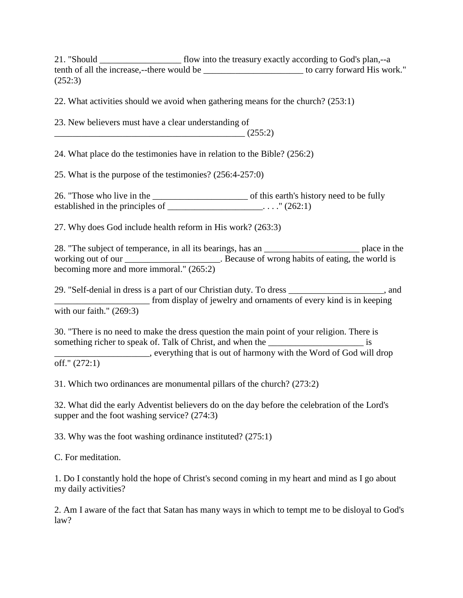21. "Should \_\_\_\_\_\_\_\_\_\_\_\_\_\_\_\_\_\_ flow into the treasury exactly according to God's plan,--a tenth of all the increase,--there would be \_\_\_\_\_\_\_\_\_\_\_\_\_\_\_\_\_\_\_\_\_\_ to carry forward His work." (252:3)

22. What activities should we avoid when gathering means for the church? (253:1)

23. New believers must have a clear understanding of

 $\frac{1}{(255:2)}$ 

24. What place do the testimonies have in relation to the Bible? (256:2)

25. What is the purpose of the testimonies? (256:4-257:0)

26. "Those who live in the \_\_\_\_\_\_\_\_\_\_\_\_\_\_\_\_\_\_\_\_\_ of this earth's history need to be fully established in the principles of \_\_\_\_\_\_\_\_\_\_\_\_\_\_\_\_\_\_\_\_\_. . . ." (262:1)

27. Why does God include health reform in His work? (263:3)

28. "The subject of temperance, in all its bearings, has an \_\_\_\_\_\_\_\_\_\_\_\_\_\_\_\_\_\_\_\_\_ place in the working out of our \_\_\_\_\_\_\_\_\_\_\_\_\_\_\_\_\_\_\_\_\_. Because of wrong habits of eating, the world is becoming more and more immoral." (265:2)

29. "Self-denial in dress is a part of our Christian duty. To dress \_\_\_\_\_\_\_\_\_\_\_\_\_\_\_\_\_\_\_\_\_, and \_\_\_\_\_\_\_\_\_\_\_\_\_\_\_\_\_\_\_\_\_ from display of jewelry and ornaments of every kind is in keeping with our faith." (269:3)

30. "There is no need to make the dress question the main point of your religion. There is something richer to speak of. Talk of Christ, and when the \_\_\_\_\_\_\_\_\_\_\_\_\_\_\_\_\_\_\_\_\_\_ is \_\_\_\_\_\_\_\_\_\_\_\_\_\_\_\_\_\_\_\_\_, everything that is out of harmony with the Word of God will drop

off." (272:1)

31. Which two ordinances are monumental pillars of the church? (273:2)

32. What did the early Adventist believers do on the day before the celebration of the Lord's supper and the foot washing service? (274:3)

33. Why was the foot washing ordinance instituted? (275:1)

C. For meditation.

1. Do I constantly hold the hope of Christ's second coming in my heart and mind as I go about my daily activities?

2. Am I aware of the fact that Satan has many ways in which to tempt me to be disloyal to God's law?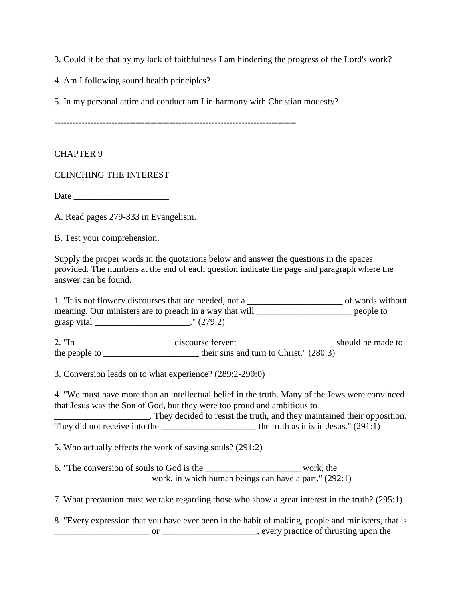3. Could it be that by my lack of faithfulness I am hindering the progress of the Lord's work?

4. Am I following sound health principles?

5. In my personal attire and conduct am I in harmony with Christian modesty?

--------------------------------------------------------------------------------

#### CHAPTER 9

CLINCHING THE INTEREST

Date \_\_\_\_\_\_\_\_\_\_\_\_\_\_\_\_\_\_\_\_\_

A. Read pages 279-333 in Evangelism.

B. Test your comprehension.

Supply the proper words in the quotations below and answer the questions in the spaces provided. The numbers at the end of each question indicate the page and paragraph where the answer can be found.

1. "It is not flowery discourses that are needed, not a \_\_\_\_\_\_\_\_\_\_\_\_\_\_\_\_\_\_\_\_\_ of words without meaning. Our ministers are to preach in a way that will \_\_\_\_\_\_\_\_\_\_\_\_\_\_\_\_\_\_\_\_\_\_\_\_\_ people to grasp vital \_\_\_\_\_\_\_\_\_\_\_\_\_\_\_\_\_\_\_\_\_." (279:2) 2. "In \_\_\_\_\_\_\_\_\_\_\_\_\_\_\_\_\_\_\_\_\_ discourse fervent \_\_\_\_\_\_\_\_\_\_\_\_\_\_\_\_\_\_\_\_\_ should be made to the people to \_\_\_\_\_\_\_\_\_\_\_\_\_\_\_\_\_\_\_\_\_\_\_\_\_\_ their sins and turn to Christ."  $(280:3)$ 3. Conversion leads on to what experience? (289:2-290:0) 4. "We must have more than an intellectual belief in the truth. Many of the Jews were convinced that Jesus was the Son of God, but they were too proud and ambitious to \_\_\_\_\_\_\_\_\_\_\_\_\_\_\_\_\_\_\_\_\_. They decided to resist the truth, and they maintained their opposition. They did not receive into the \_\_\_\_\_\_\_\_\_\_\_\_\_\_\_\_\_\_\_\_\_ the truth as it is in Jesus." (291:1) 5. Who actually effects the work of saving souls? (291:2) 6. "The conversion of souls to God is the work, the work, in which human beings can have a part."  $(292:1)$ 

7. What precaution must we take regarding those who show a great interest in the truth? (295:1)

8. "Every expression that you have ever been in the habit of making, people and ministers, that is \_\_\_\_\_\_\_\_\_\_\_\_\_\_\_\_\_\_\_\_\_ or \_\_\_\_\_\_\_\_\_\_\_\_\_\_\_\_\_\_\_\_\_, every practice of thrusting upon the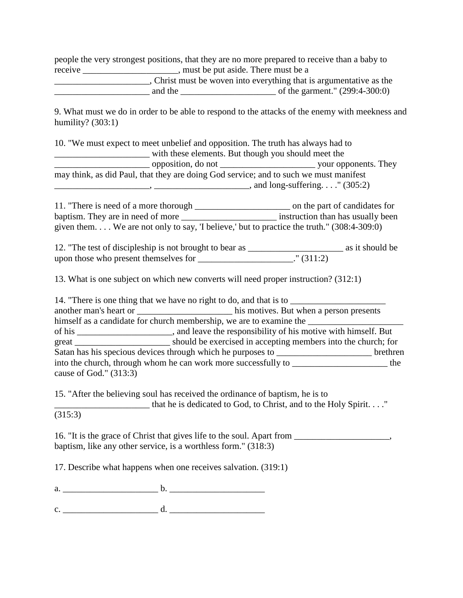people the very strongest positions, that they are no more prepared to receive than a baby to receive \_\_\_\_\_\_\_\_\_\_\_\_\_\_\_\_\_\_\_\_\_, must be put aside. There must be a

\_\_\_\_\_\_\_\_\_\_\_\_\_\_\_\_\_\_\_\_\_, Christ must be woven into everything that is argumentative as the \_\_\_\_\_\_\_\_\_\_\_\_\_\_\_\_\_\_\_\_\_ and the \_\_\_\_\_\_\_\_\_\_\_\_\_\_\_\_\_\_\_\_\_ of the garment." (299:4-300:0)

9. What must we do in order to be able to respond to the attacks of the enemy with meekness and humility?  $(303:1)$ 

| 10. "We must expect to meet unbelief and opposition. The truth has always had to      |                                                     |
|---------------------------------------------------------------------------------------|-----------------------------------------------------|
|                                                                                       | with these elements. But though you should meet the |
|                                                                                       |                                                     |
| may think, as did Paul, that they are doing God service; and to such we must manifest |                                                     |
|                                                                                       | , and long-suffering" $(305:2)$                     |
|                                                                                       |                                                     |

11. "There is need of a more thorough \_\_\_\_\_\_\_\_\_\_\_\_\_\_\_\_\_\_\_\_\_ on the part of candidates for baptism. They are in need of more \_\_\_\_\_\_\_\_\_\_\_\_\_\_\_\_\_\_\_\_\_\_\_\_\_ instruction than has usually been given them. . . . We are not only to say, 'I believe,' but to practice the truth." (308:4-309:0)

12. "The test of discipleship is not brought to bear as \_\_\_\_\_\_\_\_\_\_\_\_\_\_\_\_\_\_\_\_\_ as it should be upon those who present themselves for \_\_\_\_\_\_\_\_\_\_\_\_\_\_\_\_\_\_\_\_\_\_\_." (311:2)

13. What is one subject on which new converts will need proper instruction? (312:1)

14. "There is one thing that we have no right to do, and that is to

another man's heart or \_\_\_\_\_\_\_\_\_\_\_\_\_\_\_\_\_\_\_\_\_ his motives. But when a person presents himself as a candidate for church membership, we are to examine the \_\_\_\_\_\_\_\_\_\_\_\_\_ of his \_\_\_\_\_\_\_\_\_\_\_\_\_\_\_\_\_\_\_\_\_, and leave the responsibility of his motive with himself. But great should be exercised in accepting members into the church; for Satan has his specious devices through which he purposes to \_\_\_\_\_\_\_\_\_\_\_\_\_\_\_\_\_\_\_\_\_\_\_\_\_\_ brethren into the church, through whom he can work more successfully to \_\_\_\_\_\_\_\_\_\_\_\_\_\_\_\_\_\_\_\_\_\_\_ the cause of God." (313:3)

15. "After the believing soul has received the ordinance of baptism, he is to

\_\_\_\_\_\_\_\_\_\_\_\_\_\_\_\_\_\_\_\_\_ that he is dedicated to God, to Christ, and to the Holy Spirit. . . ."

(315:3)

16. "It is the grace of Christ that gives life to the soul. Apart from \_\_\_\_\_\_\_\_\_\_\_\_\_\_\_\_\_, baptism, like any other service, is a worthless form." (318:3)

17. Describe what happens when one receives salvation. (319:1)

a.  $\frac{b}{c}$ .  $\frac{b}{c}$ 

c. \_\_\_\_\_\_\_\_\_\_\_\_\_\_\_\_\_\_\_\_\_ d. \_\_\_\_\_\_\_\_\_\_\_\_\_\_\_\_\_\_\_\_\_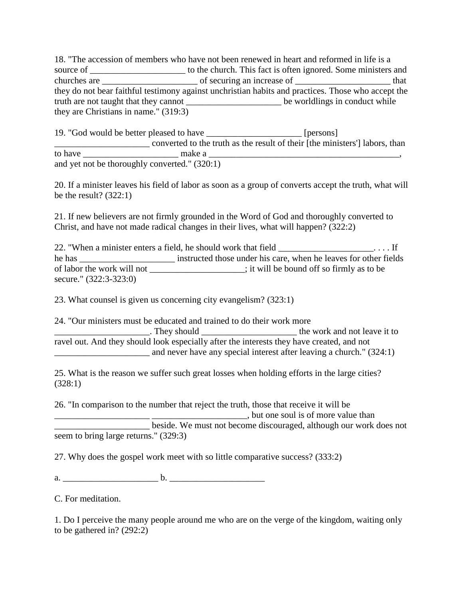18. "The accession of members who have not been renewed in heart and reformed in life is a source of \_\_\_\_\_\_\_\_\_\_\_\_\_\_\_\_\_\_\_\_\_\_\_ to the church. This fact is often ignored. Some ministers and churches are \_\_\_\_\_\_\_\_\_\_\_\_\_\_\_\_\_\_\_\_\_ of securing an increase of \_\_\_\_\_\_\_\_\_\_\_\_\_\_\_\_\_\_\_\_\_ that they do not bear faithful testimony against unchristian habits and practices. Those who accept the truth are not taught that they cannot \_\_\_\_\_\_\_\_\_\_\_\_\_\_\_\_\_\_\_\_\_ be worldlings in conduct while they are Christians in name." (319:3)

|         | 19. "God would be better pleased to have      | <i>l</i> persons l                                                         |
|---------|-----------------------------------------------|----------------------------------------------------------------------------|
|         |                                               | converted to the truth as the result of their [the ministers] labors, than |
| to have | make a                                        |                                                                            |
|         | and yet not be thoroughly converted." (320:1) |                                                                            |

20. If a minister leaves his field of labor as soon as a group of converts accept the truth, what will be the result?  $(322:1)$ 

21. If new believers are not firmly grounded in the Word of God and thoroughly converted to Christ, and have not made radical changes in their lives, what will happen? (322:2)

22. "When a minister enters a field, he should work that field \_\_\_\_\_\_\_\_\_\_\_\_\_\_\_\_\_\_\_.... If he has instructed those under his care, when he leaves for other fields of labor the work will not \_\_\_\_\_\_\_\_\_\_\_\_\_\_\_\_\_\_\_\_\_; it will be bound off so firmly as to be secure." (322:3-323:0)

23. What counsel is given us concerning city evangelism? (323:1)

24. "Our ministers must be educated and trained to do their work more \_\_\_\_\_\_\_\_\_\_\_\_\_\_\_\_\_\_\_\_\_. They should \_\_\_\_\_\_\_\_\_\_\_\_\_\_\_\_\_\_\_\_\_ the work and not leave it to ravel out. And they should look especially after the interests they have created, and not and never have any special interest after leaving a church." (324:1)

25. What is the reason we suffer such great losses when holding efforts in the large cities? (328:1)

26. "In comparison to the number that reject the truth, those that receive it will be \_\_\_\_\_\_\_\_\_\_\_\_\_\_\_\_\_\_\_\_\_ \_\_\_\_\_\_\_\_\_\_\_\_\_\_\_\_\_\_\_\_\_, but one soul is of more value than \_\_\_\_\_\_\_\_\_\_\_\_\_\_\_\_\_\_\_\_\_ beside. We must not become discouraged, although our work does not seem to bring large returns." (329:3)

27. Why does the gospel work meet with so little comparative success? (333:2)

a. \_\_\_\_\_\_\_\_\_\_\_\_\_\_\_\_\_\_\_\_\_ b. \_\_\_\_\_\_\_\_\_\_\_\_\_\_\_\_\_\_\_\_\_

C. For meditation.

1. Do I perceive the many people around me who are on the verge of the kingdom, waiting only to be gathered in? (292:2)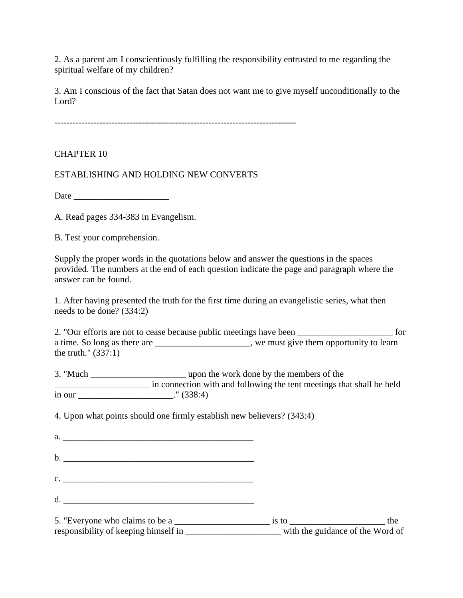2. As a parent am I conscientiously fulfilling the responsibility entrusted to me regarding the spiritual welfare of my children?

3. Am I conscious of the fact that Satan does not want me to give myself unconditionally to the Lord?

--------------------------------------------------------------------------------

CHAPTER 10

ESTABLISHING AND HOLDING NEW CONVERTS

Date  $\Box$ 

A. Read pages 334-383 in Evangelism.

B. Test your comprehension.

Supply the proper words in the quotations below and answer the questions in the spaces provided. The numbers at the end of each question indicate the page and paragraph where the answer can be found.

1. After having presented the truth for the first time during an evangelistic series, what then needs to be done? (334:2)

2. "Our efforts are not to cease because public meetings have been \_\_\_\_\_\_\_\_\_\_\_\_\_\_\_\_\_\_\_\_\_\_\_ for a time. So long as there are \_\_\_\_\_\_\_\_\_\_\_\_\_\_\_\_\_\_\_\_, we must give them opportunity to learn the truth." (337:1)

3. "Much \_\_\_\_\_\_\_\_\_\_\_\_\_\_\_\_\_\_\_\_\_ upon the work done by the members of the In connection with and following the tent meetings that shall be held in our \_\_\_\_\_\_\_\_\_\_\_\_\_\_\_\_\_\_\_\_\_." (338:4)

4. Upon what points should one firmly establish new believers? (343:4)

| a.                            |                                                                                                                                                                                                                                |     |
|-------------------------------|--------------------------------------------------------------------------------------------------------------------------------------------------------------------------------------------------------------------------------|-----|
|                               |                                                                                                                                                                                                                                |     |
| $c.$ $\overline{\phantom{a}}$ |                                                                                                                                                                                                                                |     |
| d.                            |                                                                                                                                                                                                                                |     |
|                               | is to the same state of the state of the state of the state of the state of the state of the state of the state of the state of the state of the state of the state of the state of the state of the state of the state of the | the |

responsibility of keeping himself in \_\_\_\_\_\_\_\_\_\_\_\_\_\_\_\_\_\_\_\_\_\_\_\_\_\_\_\_\_\_with the guidance of the Word of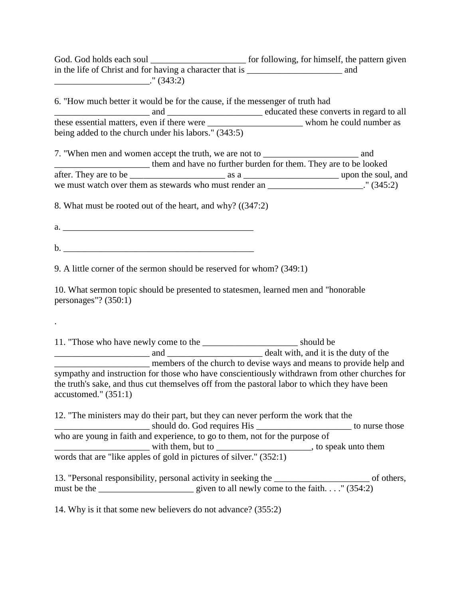God. God holds each soul \_\_\_\_\_\_\_\_\_\_\_\_\_\_\_\_\_\_\_\_\_ for following, for himself, the pattern given in the life of Christ and for having a character that is \_\_\_\_\_\_\_\_\_\_\_\_\_\_\_\_\_\_\_\_\_ and \_\_\_\_\_\_\_\_\_\_\_\_\_\_\_\_\_\_\_\_\_." (343:2)

6. "How much better it would be for the cause, if the messenger of truth had \_\_\_\_\_\_\_\_\_\_\_\_\_\_\_\_\_\_\_\_\_ and \_\_\_\_\_\_\_\_\_\_\_\_\_\_\_\_\_\_\_\_\_ educated these converts in regard to all these essential matters, even if there were \_\_\_\_\_\_\_\_\_\_\_\_\_\_\_\_\_\_\_\_\_ whom he could number as being added to the church under his labors." (343:5)

7. "When men and women accept the truth, we are not to \_\_\_\_\_\_\_\_\_\_\_\_\_\_\_\_\_\_\_\_\_ and \_\_\_\_\_\_\_\_\_\_\_\_\_\_\_\_\_\_\_\_\_ them and have no further burden for them. They are to be looked after. They are to be \_\_\_\_\_\_\_\_\_\_\_\_\_\_\_\_\_\_\_\_\_ as a \_\_\_\_\_\_\_\_\_\_\_\_\_\_\_\_\_\_\_\_\_ upon the soul, and we must watch over them as stewards who must render an \_\_\_\_\_\_\_\_\_\_\_\_\_\_\_\_\_\_\_." (345:2)

8. What must be rooted out of the heart, and why? ((347:2)

a. \_\_\_\_\_\_\_\_\_\_\_\_\_\_\_\_\_\_\_\_\_\_\_\_\_\_\_\_\_\_\_\_\_\_\_\_\_\_\_\_\_\_

b. \_\_\_\_\_\_\_\_\_\_\_\_\_\_\_\_\_\_\_\_\_\_\_\_\_\_\_\_\_\_\_\_\_\_\_\_\_\_\_\_\_\_

.

9. A little corner of the sermon should be reserved for whom? (349:1)

10. What sermon topic should be presented to statesmen, learned men and "honorable personages"? (350:1)

11. "Those who have newly come to the \_\_\_\_\_\_\_\_\_\_\_\_\_\_\_\_\_\_\_\_\_ should be \_\_\_\_\_\_\_\_\_\_\_\_\_\_\_\_\_\_\_\_\_ and \_\_\_\_\_\_\_\_\_\_\_\_\_\_\_\_\_\_\_\_\_ dealt with, and it is the duty of the \_\_\_\_\_\_\_\_\_\_\_\_\_\_\_\_\_\_\_\_\_ members of the church to devise ways and means to provide help and sympathy and instruction for those who have conscientiously withdrawn from other churches for the truth's sake, and thus cut themselves off from the pastoral labor to which they have been accustomed." (351:1)

12. "The ministers may do their part, but they can never perform the work that the \_\_\_\_\_\_\_\_\_\_\_\_\_\_\_\_\_\_\_ should do. God requires His \_\_\_\_\_\_\_\_\_\_\_\_\_\_\_\_\_\_\_\_\_\_\_\_\_\_\_\_\_\_\_\_ to nurse those who are young in faith and experience, to go to them, not for the purpose of \_\_\_\_\_\_\_\_\_\_\_\_\_\_\_\_\_\_\_\_\_ with them, but to \_\_\_\_\_\_\_\_\_\_\_\_\_\_\_\_\_\_\_\_\_, to speak unto them words that are "like apples of gold in pictures of silver." (352:1)

13. "Personal responsibility, personal activity in seeking the of others, must be the \_\_\_\_\_\_\_\_\_\_\_\_\_\_\_\_\_\_\_\_\_ given to all newly come to the faith. . . ." (354:2)

14. Why is it that some new believers do not advance? (355:2)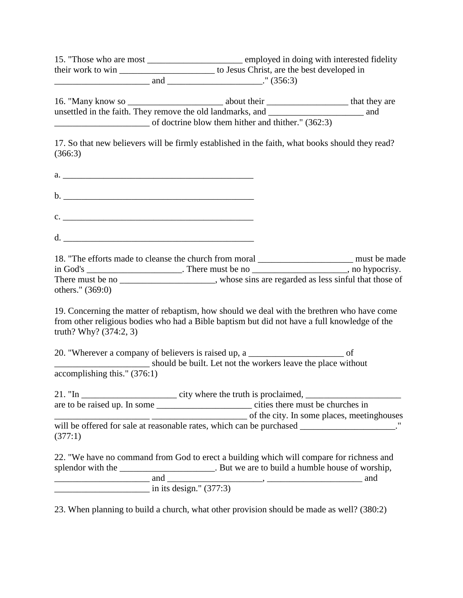15. "Those who are most \_\_\_\_\_\_\_\_\_\_\_\_\_\_\_\_\_\_\_\_\_ employed in doing with interested fidelity their work to win \_\_\_\_\_\_\_\_\_\_\_\_\_\_\_\_\_\_\_\_\_ to Jesus Christ, are the best developed in \_\_\_\_\_\_\_\_\_\_\_\_\_\_\_\_\_\_\_\_\_ and \_\_\_\_\_\_\_\_\_\_\_\_\_\_\_\_\_\_\_\_\_." (356:3)

16. "Many know so \_\_\_\_\_\_\_\_\_\_\_\_\_\_\_\_\_\_\_\_\_ about their \_\_\_\_\_\_\_\_\_\_\_\_\_\_\_\_\_\_ that they are unsettled in the faith. They remove the old landmarks, and \_\_\_\_\_\_\_\_\_\_\_\_\_\_\_\_\_\_\_\_\_ and \_\_\_\_\_\_\_\_\_\_\_\_\_\_\_\_\_\_\_\_\_ of doctrine blow them hither and thither." (362:3)

17. So that new believers will be firmly established in the faith, what books should they read? (366:3)

 $a.$ 

 $\mathbf b.$  $c.$ 

 $d.$ 

18. "The efforts made to cleanse the church from moral \_\_\_\_\_\_\_\_\_\_\_\_\_\_\_\_\_\_\_\_\_ must be made  $\overline{\text{in God's}}$  \_\_\_\_\_\_\_\_\_\_\_\_\_\_\_\_\_\_\_\_. There must be no \_\_\_\_\_\_\_\_\_\_\_\_\_\_\_\_\_\_\_\_\_, no hypocrisy. There must be no \_\_\_\_\_\_\_\_\_\_\_\_\_\_\_\_\_\_, whose sins are regarded as less sinful that those of others." (369:0)

19. Concerning the matter of rebaptism, how should we deal with the brethren who have come from other religious bodies who had a Bible baptism but did not have a full knowledge of the truth? Why? (374:2, 3)

20. "Wherever a company of believers is raised up, a  $\qquad \qquad$  of \_\_\_\_\_\_\_\_\_\_\_\_\_\_\_\_\_\_\_\_\_ should be built. Let not the workers leave the place without accomplishing this." (376:1)

21. "In \_\_\_\_\_\_\_\_\_\_\_\_\_\_\_\_\_\_\_\_\_ city where the truth is proclaimed, \_\_\_\_\_\_\_\_\_\_\_\_\_\_\_\_\_\_\_\_\_ are to be raised up. In some \_\_\_\_\_\_\_\_\_\_\_\_\_\_\_\_\_\_\_\_\_ cities there must be churches in \_\_\_\_\_\_\_\_\_\_\_\_\_\_\_\_\_\_\_\_\_ \_\_\_\_\_\_\_\_\_\_\_\_\_\_\_\_\_\_\_\_\_ of the city. In some places, meetinghouses will be offered for sale at reasonable rates, which can be purchased \_\_\_\_\_\_\_\_\_\_\_\_\_\_\_\_\_\_\_\_\_." (377:1)

22. "We have no command from God to erect a building which will compare for richness and splendor with the \_\_\_\_\_\_\_\_\_\_\_\_\_\_\_\_\_\_\_\_\_\_. But we are to build a humble house of worship, \_\_\_\_\_\_\_\_\_\_\_\_\_\_\_\_\_\_\_\_\_ and \_\_\_\_\_\_\_\_\_\_\_\_\_\_\_\_\_\_\_\_\_, \_\_\_\_\_\_\_\_\_\_\_\_\_\_\_\_\_\_\_\_\_ and  $\frac{1}{\text{max}}$  in its design." (377:3)

23. When planning to build a church, what other provision should be made as well? (380:2)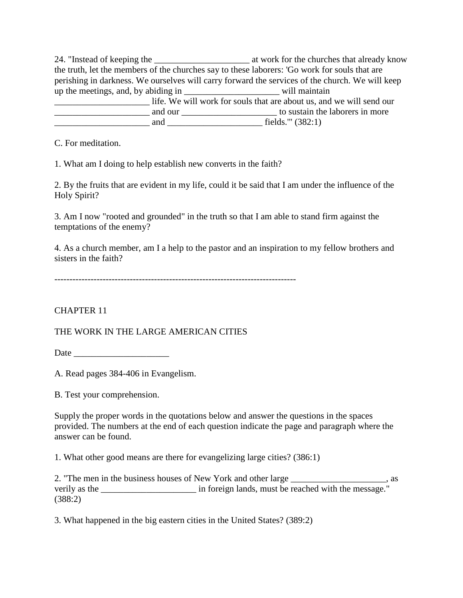24. "Instead of keeping the \_\_\_\_\_\_\_\_\_\_\_\_\_\_\_\_\_\_\_\_\_ at work for the churches that already know the truth, let the members of the churches say to these laborers: 'Go work for souls that are perishing in darkness. We ourselves will carry forward the services of the church. We will keep up the meetings, and, by abiding in \_\_\_\_\_\_\_\_\_\_\_\_\_\_\_\_\_\_\_\_\_ will maintain The same state of the souls will work for souls that are about us, and we will send our \_\_\_\_\_\_\_\_\_\_\_\_\_\_\_\_\_\_\_\_\_ and our \_\_\_\_\_\_\_\_\_\_\_\_\_\_\_\_\_\_\_\_\_ to sustain the laborers in more \_\_\_\_\_\_\_\_\_\_\_\_\_\_\_\_\_\_\_\_\_ and \_\_\_\_\_\_\_\_\_\_\_\_\_\_\_\_\_\_\_\_\_ fields.'" (382:1)

C. For meditation.

1. What am I doing to help establish new converts in the faith?

2. By the fruits that are evident in my life, could it be said that I am under the influence of the Holy Spirit?

3. Am I now "rooted and grounded" in the truth so that I am able to stand firm against the temptations of the enemy?

4. As a church member, am I a help to the pastor and an inspiration to my fellow brothers and sisters in the faith?

--------------------------------------------------------------------------------

## CHAPTER 11

## THE WORK IN THE LARGE AMERICAN CITIES

Date \_\_\_\_\_\_\_\_\_\_\_\_\_\_\_\_\_\_\_\_\_

A. Read pages 384-406 in Evangelism.

B. Test your comprehension.

Supply the proper words in the quotations below and answer the questions in the spaces provided. The numbers at the end of each question indicate the page and paragraph where the answer can be found.

1. What other good means are there for evangelizing large cities? (386:1)

2. "The men in the business houses of New York and other large \_\_\_\_\_\_\_\_\_\_\_\_\_\_\_\_\_ verily as the \_\_\_\_\_\_\_\_\_\_\_\_\_\_\_\_\_\_\_\_\_ in foreign lands, must be reached with the message." (388:2)

3. What happened in the big eastern cities in the United States? (389:2)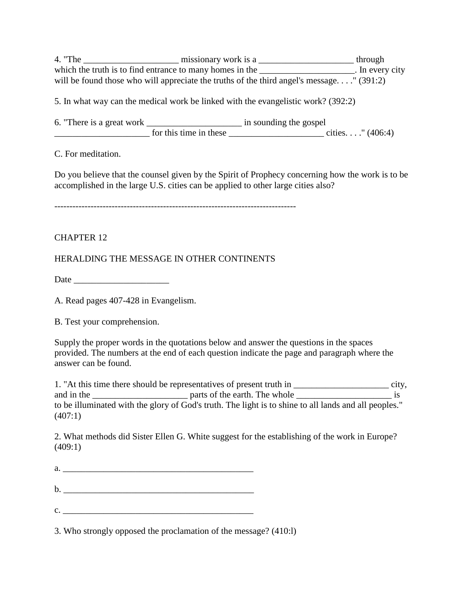4. "The \_\_\_\_\_\_\_\_\_\_\_\_\_\_\_\_\_\_\_\_\_ missionary work is a \_\_\_\_\_\_\_\_\_\_\_\_\_\_\_\_\_\_\_\_\_ through which the truth is to find entrance to many homes in the \_\_\_\_\_\_\_\_\_\_\_\_\_\_\_\_\_\_\_\_\_. In every city will be found those who will appreciate the truths of the third angel's message. . . ." (391:2)

5. In what way can the medical work be linked with the evangelistic work? (392:2)

| 6. "There is a great work" |                        | in sounding the gospel |                     |
|----------------------------|------------------------|------------------------|---------------------|
|                            | for this time in these |                        | cities. " $(406:4)$ |

C. For meditation.

Do you believe that the counsel given by the Spirit of Prophecy concerning how the work is to be accomplished in the large U.S. cities can be applied to other large cities also?

--------------------------------------------------------------------------------

## CHAPTER 12

HERALDING THE MESSAGE IN OTHER CONTINENTS

Date \_\_\_\_\_\_\_\_\_\_\_\_\_\_\_\_\_\_\_\_\_

A. Read pages 407-428 in Evangelism.

B. Test your comprehension.

Supply the proper words in the quotations below and answer the questions in the spaces provided. The numbers at the end of each question indicate the page and paragraph where the answer can be found.

1. "At this time there should be representatives of present truth in \_\_\_\_\_\_\_\_\_\_\_\_\_\_\_\_\_\_\_\_\_\_\_\_\_ city, and in the \_\_\_\_\_\_\_\_\_\_\_\_\_\_\_\_\_\_\_\_\_ parts of the earth. The whole \_\_\_\_\_\_\_\_\_\_\_\_\_\_\_\_\_\_\_\_\_ is to be illuminated with the glory of God's truth. The light is to shine to all lands and all peoples." (407:1)

2. What methods did Sister Ellen G. White suggest for the establishing of the work in Europe? (409:1)

a. \_\_\_\_\_\_\_\_\_\_\_\_\_\_\_\_\_\_\_\_\_\_\_\_\_\_\_\_\_\_\_\_\_\_\_\_\_\_\_\_\_\_ b. \_\_\_\_\_\_\_\_\_\_\_\_\_\_\_\_\_\_\_\_\_\_\_\_\_\_\_\_\_\_\_\_\_\_\_\_\_\_\_\_\_\_  $c.$ 

3. Who strongly opposed the proclamation of the message? (410:l)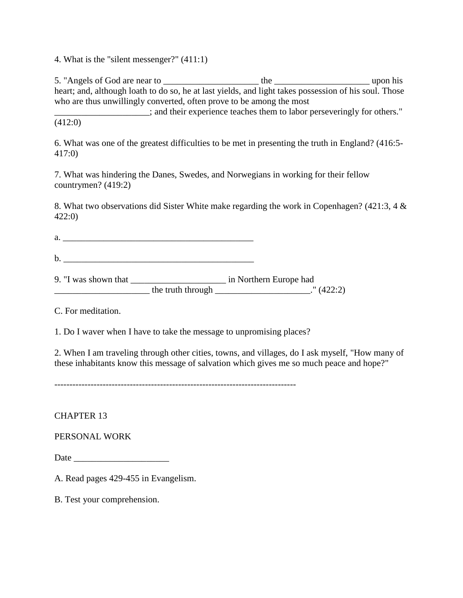4. What is the "silent messenger?" (411:1)

5. "Angels of God are near to \_\_\_\_\_\_\_\_\_\_\_\_\_\_\_\_\_\_\_\_\_ the \_\_\_\_\_\_\_\_\_\_\_\_\_\_\_\_\_\_\_\_\_ upon his heart; and, although loath to do so, he at last yields, and light takes possession of his soul. Those who are thus unwillingly converted, often prove to be among the most

\_\_\_\_\_\_\_\_\_\_\_\_\_\_\_\_\_\_\_\_\_; and their experience teaches them to labor perseveringly for others." (412:0)

6. What was one of the greatest difficulties to be met in presenting the truth in England? (416:5- 417:0)

7. What was hindering the Danes, Swedes, and Norwegians in working for their fellow countrymen? (419:2)

8. What two observations did Sister White make regarding the work in Copenhagen? (421:3, 4 & 422:0)

 $a.$ 

 $\mathbf{b}$ .  $\blacksquare$ 

9. "I was shown that \_\_\_\_\_\_\_\_\_\_\_\_\_\_\_\_\_\_\_\_\_ in Northern Europe had \_\_\_\_\_\_\_\_\_\_\_\_\_\_\_\_\_\_\_\_\_ the truth through \_\_\_\_\_\_\_\_\_\_\_\_\_\_\_\_\_\_\_\_\_." (422:2)

C. For meditation.

1. Do I waver when I have to take the message to unpromising places?

2. When I am traveling through other cities, towns, and villages, do I ask myself, "How many of these inhabitants know this message of salvation which gives me so much peace and hope?"

--------------------------------------------------------------------------------

CHAPTER 13

PERSONAL WORK

Date  $\Box$ 

A. Read pages 429-455 in Evangelism.

B. Test your comprehension.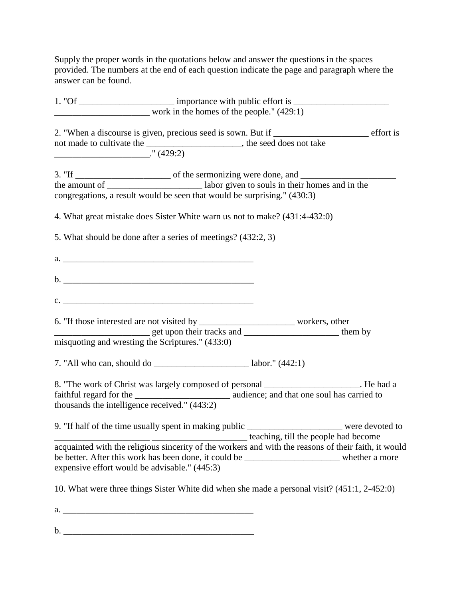Supply the proper words in the quotations below and answer the questions in the spaces provided. The numbers at the end of each question indicate the page and paragraph where the answer can be found.

|         |                                                               | 1. "Of _____________________________ importance with public effort is ______________________________                                                                       |  |
|---------|---------------------------------------------------------------|----------------------------------------------------------------------------------------------------------------------------------------------------------------------------|--|
|         |                                                               | $\frac{1}{2}$ work in the homes of the people." (429:1)                                                                                                                    |  |
|         |                                                               | 2. "When a discourse is given, precious seed is sown. But if ____________________ effort is<br>not made to cultivate the _________________________, the seed does not take |  |
| (429.2) |                                                               |                                                                                                                                                                            |  |
|         |                                                               |                                                                                                                                                                            |  |
|         |                                                               |                                                                                                                                                                            |  |
|         |                                                               | congregations, a result would be seen that would be surprising." (430:3)                                                                                                   |  |
|         |                                                               | 4. What great mistake does Sister White warn us not to make? (431:4-432:0)                                                                                                 |  |
|         | 5. What should be done after a series of meetings? (432:2, 3) |                                                                                                                                                                            |  |
|         |                                                               |                                                                                                                                                                            |  |
|         |                                                               |                                                                                                                                                                            |  |
|         | $\mathbf{c}$ .                                                |                                                                                                                                                                            |  |
|         |                                                               |                                                                                                                                                                            |  |
|         |                                                               | get upon their tracks and _______________________ them by<br>misquoting and wresting the Scriptures." (433:0)                                                              |  |
|         |                                                               | 7. "All who can, should do _______________________________ labor." $(442:1)$                                                                                               |  |
|         |                                                               | 8. "The work of Christ was largely composed of personal ___________________. He had a                                                                                      |  |
|         | thousands the intelligence received." (443:2)                 |                                                                                                                                                                            |  |
|         |                                                               | 9. "If half of the time usually spent in making public _______________________ were devoted to                                                                             |  |
|         |                                                               | teaching, till the people had become                                                                                                                                       |  |
|         |                                                               | acquainted with the religious sincerity of the workers and with the reasons of their faith, it would                                                                       |  |
|         | expensive effort would be advisable." (445:3)                 | be better. After this work has been done, it could be _________________________ whether a more                                                                             |  |
|         |                                                               | 10. What were three things Sister White did when she made a personal visit? (451:1, 2-452:0)                                                                               |  |
|         |                                                               |                                                                                                                                                                            |  |
|         |                                                               |                                                                                                                                                                            |  |

b. \_\_\_\_\_\_\_\_\_\_\_\_\_\_\_\_\_\_\_\_\_\_\_\_\_\_\_\_\_\_\_\_\_\_\_\_\_\_\_\_\_\_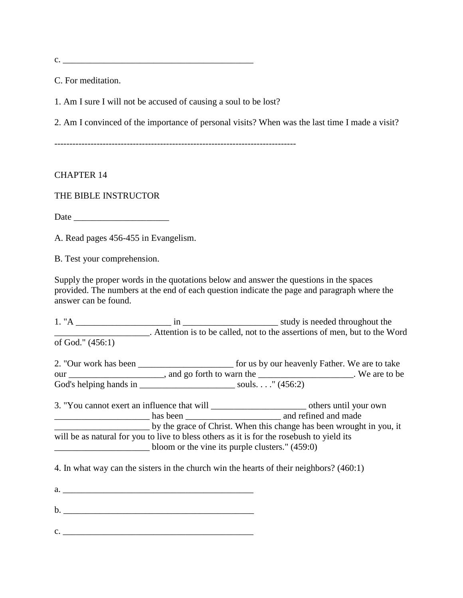$c.$ 

C. For meditation.

1. Am I sure I will not be accused of causing a soul to be lost?

2. Am I convinced of the importance of personal visits? When was the last time I made a visit?

--------------------------------------------------------------------------------

#### CHAPTER 14

## THE BIBLE INSTRUCTOR

Date  $\Box$ 

A. Read pages 456-455 in Evangelism.

B. Test your comprehension.

Supply the proper words in the quotations below and answer the questions in the spaces provided. The numbers at the end of each question indicate the page and paragraph where the answer can be found.

1. "A \_\_\_\_\_\_\_\_\_\_\_\_\_\_\_\_\_\_\_\_\_ in \_\_\_\_\_\_\_\_\_\_\_\_\_\_\_\_\_\_\_\_\_ study is needed throughout the \_\_\_\_\_\_\_\_\_\_\_\_\_\_\_\_\_\_\_\_\_. Attention is to be called, not to the assertions of men, but to the Word of God." (456:1)

2. "Our work has been \_\_\_\_\_\_\_\_\_\_\_\_\_\_\_\_\_\_\_\_\_\_\_ for us by our heavenly Father. We are to take our \_\_\_\_\_\_\_\_\_\_\_\_\_\_\_\_\_\_\_\_\_, and go forth to warn the \_\_\_\_\_\_\_\_\_\_\_\_\_\_\_\_\_\_\_\_\_. We are to be God's helping hands in \_\_\_\_\_\_\_\_\_\_\_\_\_\_\_\_\_\_\_\_\_\_\_\_\_\_\_\_\_ souls. . . . " (456:2)

3. "You cannot exert an influence that will \_\_\_\_\_\_\_\_\_\_\_\_\_\_\_\_\_\_\_\_\_ others until your own has been and refined and made \_\_\_\_\_\_\_\_\_\_\_\_\_\_\_\_\_\_\_\_\_ by the grace of Christ. When this change has been wrought in you, it will be as natural for you to live to bless others as it is for the rosebush to yield its \_\_\_\_\_\_\_\_\_\_\_\_\_\_\_\_\_\_\_\_\_ bloom or the vine its purple clusters." (459:0)

4. In what way can the sisters in the church win the hearts of their neighbors? (460:1)

a. \_\_\_\_\_\_\_\_\_\_\_\_\_\_\_\_\_\_\_\_\_\_\_\_\_\_\_\_\_\_\_\_\_\_\_\_\_\_\_\_\_\_

b. \_\_\_\_\_\_\_\_\_\_\_\_\_\_\_\_\_\_\_\_\_\_\_\_\_\_\_\_\_\_\_\_\_\_\_\_\_\_\_\_\_\_

 $c.$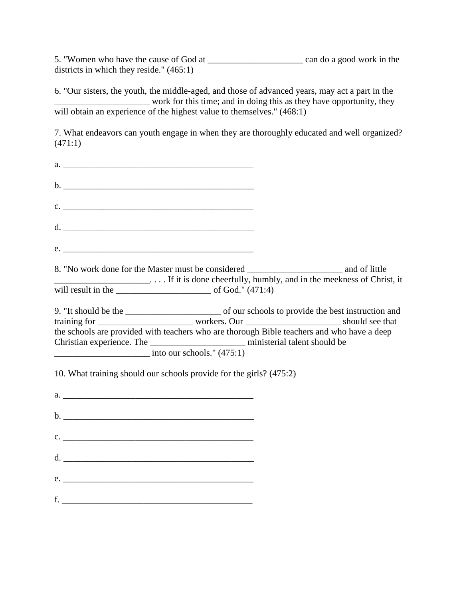5. "Women who have the cause of God at \_\_\_\_\_\_\_\_\_\_\_\_\_\_\_\_\_\_\_\_\_ can do a good work in the districts in which they reside." (465:1)

6. "Our sisters, the youth, the middle-aged, and those of advanced years, may act a part in the work for this time; and in doing this as they have opportunity, they will obtain an experience of the highest value to themselves." (468:1)

7. What endeavors can youth engage in when they are thoroughly educated and well organized? (471:1)

| $c.$ $\overline{\phantom{a}}$                                                                                                                                                                                             |  |
|---------------------------------------------------------------------------------------------------------------------------------------------------------------------------------------------------------------------------|--|
|                                                                                                                                                                                                                           |  |
|                                                                                                                                                                                                                           |  |
| 8. "No work done for the Master must be considered ______________________________ and of little                                                                                                                           |  |
|                                                                                                                                                                                                                           |  |
| the schools are provided with teachers who are thorough Bible teachers and who have a deep<br>Christian experience. The ________________________ ministerial talent should be<br>$\frac{1}{2}$ into our schools." (475:1) |  |
| 10. What training should our schools provide for the girls? (475:2)                                                                                                                                                       |  |
|                                                                                                                                                                                                                           |  |
|                                                                                                                                                                                                                           |  |
| $c.$ $\overline{\phantom{a}}$                                                                                                                                                                                             |  |
| d.                                                                                                                                                                                                                        |  |
| e.                                                                                                                                                                                                                        |  |
| $f.$ $\overline{\phantom{a}}$                                                                                                                                                                                             |  |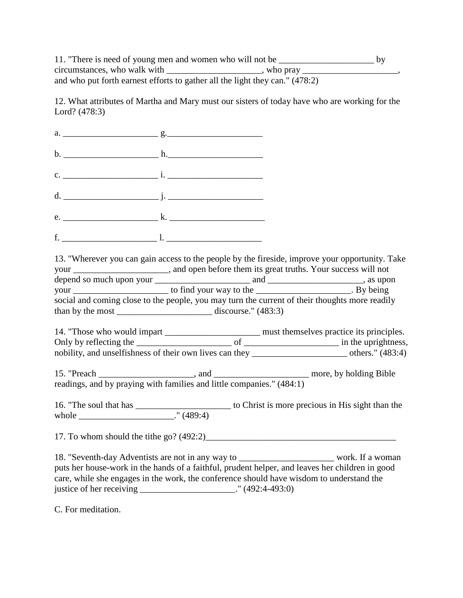11. "There is need of young men and women who will not be \_\_\_\_\_\_\_\_\_\_\_\_\_\_\_\_\_\_\_\_\_ by  $circumstances, who walk with _______$ , who pray \_\_\_\_\_\_\_\_\_\_\_\_\_\_, and who put forth earnest efforts to gather all the light they can." (478:2)

12. What attributes of Martha and Mary must our sisters of today have who are working for the Lord? (478:3)

a.  $\qquad \qquad g.$ b.  $h.$ c. \_\_\_\_\_\_\_\_\_\_\_\_\_\_\_\_\_\_\_\_\_ i. \_\_\_\_\_\_\_\_\_\_\_\_\_\_\_\_\_\_\_\_\_  $d.$   $i.$ e. \_\_\_\_\_\_\_\_\_\_\_\_\_\_\_\_\_\_\_\_\_ k. \_\_\_\_\_\_\_\_\_\_\_\_\_\_\_\_\_\_\_\_\_ f.  $\blacksquare$ 

13. "Wherever you can gain access to the people by the fireside, improve your opportunity. Take your \_\_\_\_\_\_\_\_\_\_\_\_\_\_\_\_\_, and open before them its great truths. Your success will not depend so much upon your \_\_\_\_\_\_\_\_\_\_\_\_\_\_\_\_\_\_\_\_\_ and \_\_\_\_\_\_\_\_\_\_\_\_\_\_\_\_\_\_\_\_\_, as upon your \_\_\_\_\_\_\_\_\_\_\_\_\_\_\_\_\_\_\_\_\_ to find your way to the \_\_\_\_\_\_\_\_\_\_\_\_\_\_\_\_\_\_\_\_\_. By being social and coming close to the people, you may turn the current of their thoughts more readily than by the most  $\frac{1}{2}$  discourse." (483:3)

14. "Those who would impart \_\_\_\_\_\_\_\_\_\_\_\_\_\_\_\_\_\_\_\_\_\_\_\_ must themselves practice its principles. Only by reflecting the \_\_\_\_\_\_\_\_\_\_\_\_\_\_\_\_\_\_\_\_\_ of \_\_\_\_\_\_\_\_\_\_\_\_\_\_\_\_\_\_\_\_\_ in the uprightness, nobility, and unselfishness of their own lives can they \_\_\_\_\_\_\_\_\_\_\_\_\_\_\_\_\_\_\_\_\_ others." (483:4)

15. "Preach \_\_\_\_\_\_\_\_\_\_\_\_\_\_\_\_\_\_\_\_, and \_\_\_\_\_\_\_\_\_\_\_\_\_\_\_\_\_\_\_\_\_\_ more, by holding Bible readings, and by praying with families and little companies." (484:1)

16. "The soul that has \_\_\_\_\_\_\_\_\_\_\_\_\_\_\_\_\_\_\_\_\_ to Christ is more precious in His sight than the whole \_\_\_\_\_\_\_\_\_\_\_\_\_\_\_\_\_\_\_\_\_\_\_\_\_\_\_." (489:4)

17. To whom should the tithe go?  $(492:2)$ 

18. "Seventh-day Adventists are not in any way to work. If a woman puts her house-work in the hands of a faithful, prudent helper, and leaves her children in good care, while she engages in the work, the conference should have wisdom to understand the justice of her receiving \_\_\_\_\_\_\_\_\_\_\_\_\_\_\_\_\_\_\_\_\_." (492:4-493:0)

C. For meditation.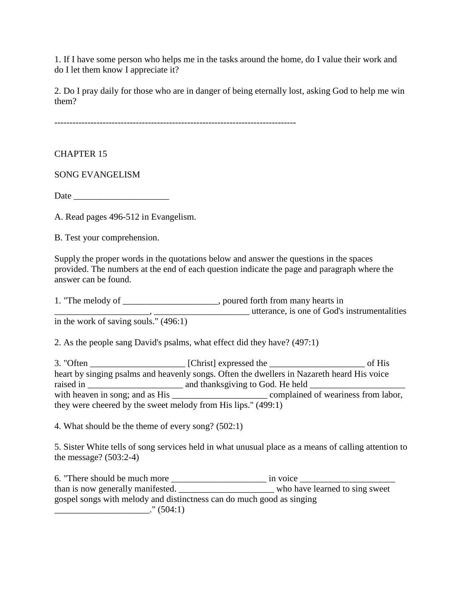1. If I have some person who helps me in the tasks around the home, do I value their work and do I let them know I appreciate it?

2. Do I pray daily for those who are in danger of being eternally lost, asking God to help me win them?

--------------------------------------------------------------------------------

CHAPTER 15

SONG EVANGELISM

Date \_\_\_\_\_\_\_\_\_\_\_\_\_\_\_\_\_\_\_\_\_

A. Read pages 496-512 in Evangelism.

B. Test your comprehension.

Supply the proper words in the quotations below and answer the questions in the spaces provided. The numbers at the end of each question indicate the page and paragraph where the answer can be found.

1. "The melody of \_\_\_\_\_\_\_\_\_\_\_\_\_\_\_\_\_\_\_, poured forth from many hearts in \_\_\_\_\_\_\_\_\_\_\_\_\_\_\_\_\_\_\_\_\_, \_\_\_\_\_\_\_\_\_\_\_\_\_\_\_\_\_\_\_\_\_ utterance, is one of God's instrumentalities in the work of saving souls." (496:1)

2. As the people sang David's psalms, what effect did they have? (497:1)

3. "Often \_\_\_\_\_\_\_\_\_\_\_\_\_\_\_\_\_\_\_\_\_ [Christ] expressed the \_\_\_\_\_\_\_\_\_\_\_\_\_\_\_\_\_\_\_\_\_ of His heart by singing psalms and heavenly songs. Often the dwellers in Nazareth heard His voice raised in \_\_\_\_\_\_\_\_\_\_\_\_\_\_\_\_\_\_\_\_\_ and thanksgiving to God. He held \_\_\_\_\_\_\_\_\_\_\_\_\_\_\_\_\_\_\_\_\_ with heaven in song; and as His \_\_\_\_\_\_\_\_\_\_\_\_\_\_\_\_\_\_\_\_\_ complained of weariness from labor, they were cheered by the sweet melody from His lips." (499:1)

4. What should be the theme of every song? (502:1)

5. Sister White tells of song services held in what unusual place as a means of calling attention to the message? (503:2-4)

6. "There should be much more \_\_\_\_\_\_\_\_\_\_\_\_\_\_\_\_\_\_\_\_\_ in voice \_\_\_\_\_\_\_\_\_\_\_\_\_\_\_\_\_\_\_\_\_ than is now generally manifested. \_\_\_\_\_\_\_\_\_\_\_\_\_\_\_\_\_\_\_\_\_ who have learned to sing sweet gospel songs with melody and distinctness can do much good as singing  $\frac{1}{2}$  (504:1)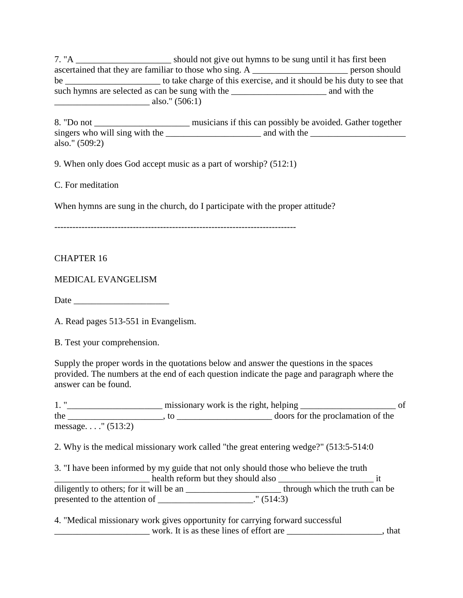7. "A \_\_\_\_\_\_\_\_\_\_\_\_\_\_\_\_\_\_\_\_\_ should not give out hymns to be sung until it has first been ascertained that they are familiar to those who sing. A \_\_\_\_\_\_\_\_\_\_\_\_\_\_\_\_\_\_\_\_\_\_\_\_\_ person should be \_\_\_\_\_\_\_\_\_\_\_\_\_\_\_\_\_\_\_\_\_ to take charge of this exercise, and it should be his duty to see that such hymns are selected as can be sung with the \_\_\_\_\_\_\_\_\_\_\_\_\_\_\_\_\_\_\_\_\_\_\_\_\_\_\_\_\_\_\_\_ and with the  $\frac{1}{2}$  also." (506:1)

8. "Do not \_\_\_\_\_\_\_\_\_\_\_\_\_\_\_\_\_\_\_\_\_\_\_\_\_ musicians if this can possibly be avoided. Gather together singers who will sing with the  $\frac{1}{\sqrt{1-\frac{1}{2}}}\$  and with the  $\frac{1}{\sqrt{1-\frac{1}{2}}}\$ also." (509:2)

9. When only does God accept music as a part of worship? (512:1)

C. For meditation

When hymns are sung in the church, do I participate with the proper attitude?

--------------------------------------------------------------------------------

#### CHAPTER 16

MEDICAL EVANGELISM

Date \_\_\_\_\_\_\_\_\_\_\_\_\_\_\_\_\_\_\_\_\_

A. Read pages 513-551 in Evangelism.

B. Test your comprehension.

Supply the proper words in the quotations below and answer the questions in the spaces provided. The numbers at the end of each question indicate the page and paragraph where the answer can be found.

1. " $\frac{1}{2}$  missionary work is the right, helping  $\frac{1}{2}$ the \_\_\_\_\_\_\_\_\_\_\_\_\_\_\_\_\_\_\_\_\_, to \_\_\_\_\_\_\_\_\_\_\_\_\_\_\_\_\_\_\_\_\_ doors for the proclamation of the message. . . ." (513:2)

2. Why is the medical missionary work called "the great entering wedge?" (513:5-514:0

| 3. "I have been informed by my guide that not only should those who believe the truth |                                    |                                |
|---------------------------------------------------------------------------------------|------------------------------------|--------------------------------|
|                                                                                       | health reform but they should also |                                |
| diligently to others; for it will be an                                               |                                    | through which the truth can be |
| presented to the attention of                                                         | (514:3)                            |                                |

4. "Medical missionary work gives opportunity for carrying forward successful work. It is as these lines of effort are \_\_\_\_\_\_\_\_\_\_\_\_\_\_\_\_\_\_\_, that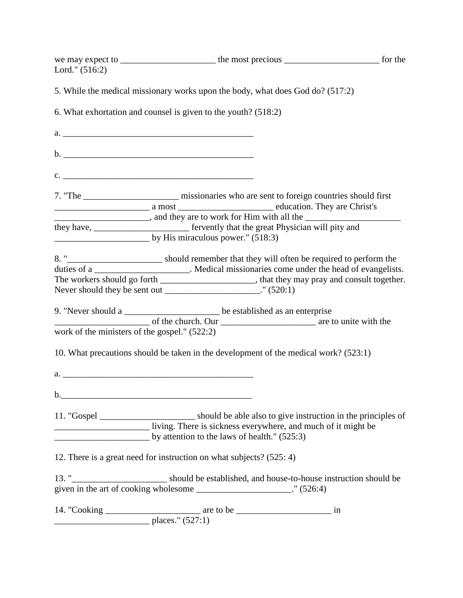| Lord." $(516:2)$                              |                                                                                                   |  |
|-----------------------------------------------|---------------------------------------------------------------------------------------------------|--|
|                                               | 5. While the medical missionary works upon the body, what does God do? (517:2)                    |  |
|                                               | 6. What exhortation and counsel is given to the youth? (518:2)                                    |  |
|                                               |                                                                                                   |  |
|                                               |                                                                                                   |  |
|                                               | $c.$ $\overline{\phantom{a}}$                                                                     |  |
|                                               | education. They are Christ's                                                                      |  |
|                                               | they have, ________________________________ fervently that the great Physician will pity and      |  |
|                                               | $\frac{1}{2}$ by His miraculous power." (518:3)                                                   |  |
|                                               | 8. " <u> Should</u> remember that they will often be required to perform the                      |  |
|                                               | duties of a _______________________. Medical missionaries come under the head of evangelists.     |  |
|                                               | The workers should go forth ___________________________, that they may pray and consult together. |  |
|                                               | Never should they be sent out ________________________." (520:1)                                  |  |
|                                               | 9. "Never should a _________________________ be established as an enterprise                      |  |
|                                               |                                                                                                   |  |
| work of the ministers of the gospel." (522:2) |                                                                                                   |  |
|                                               | 10. What precautions should be taken in the development of the medical work? (523:1)              |  |
|                                               |                                                                                                   |  |
|                                               |                                                                                                   |  |
|                                               |                                                                                                   |  |
|                                               | $\frac{1}{2}$ by attention to the laws of health." (525:3)                                        |  |
|                                               | 12. There is a great need for instruction on what subjects? (525: 4)                              |  |
|                                               |                                                                                                   |  |
|                                               | given in the art of cooking wholesome _______________________." (526:4)                           |  |
|                                               |                                                                                                   |  |
|                                               |                                                                                                   |  |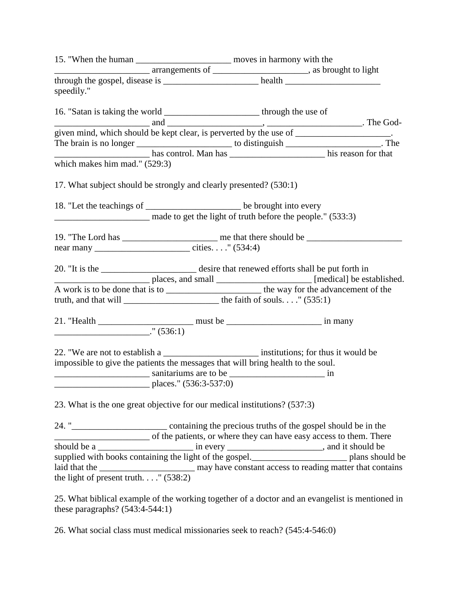| speedily."                                                                                                               |                                      |                                                                    |  |
|--------------------------------------------------------------------------------------------------------------------------|--------------------------------------|--------------------------------------------------------------------|--|
| 16. "Satan is taking the world __________________________ through the use of                                             |                                      |                                                                    |  |
|                                                                                                                          |                                      |                                                                    |  |
| given mind, which should be kept clear, is perverted by the use of ___________________.                                  |                                      |                                                                    |  |
| The brain is no longer ________________________ to distinguish _____________________. The                                |                                      |                                                                    |  |
|                                                                                                                          |                                      |                                                                    |  |
| which makes him mad." (529:3)                                                                                            |                                      |                                                                    |  |
| 17. What subject should be strongly and clearly presented? (530:1)                                                       |                                      |                                                                    |  |
| 18. "Let the teachings of __________________________ be brought into every                                               |                                      |                                                                    |  |
|                                                                                                                          |                                      | made to get the light of truth before the people." (533:3)         |  |
|                                                                                                                          |                                      |                                                                    |  |
|                                                                                                                          |                                      |                                                                    |  |
|                                                                                                                          |                                      |                                                                    |  |
|                                                                                                                          |                                      |                                                                    |  |
|                                                                                                                          |                                      |                                                                    |  |
| truth, and that will $\frac{1}{\sqrt{35}}$ the faith of souls" (535:1)                                                   |                                      |                                                                    |  |
|                                                                                                                          |                                      |                                                                    |  |
| $\frac{1}{1}$ (536:1)                                                                                                    |                                      |                                                                    |  |
|                                                                                                                          |                                      |                                                                    |  |
| impossible to give the patients the messages that will bring health to the soul.                                         |                                      |                                                                    |  |
|                                                                                                                          |                                      |                                                                    |  |
|                                                                                                                          | $\frac{1}{2}$ places." (536:3-537:0) |                                                                    |  |
|                                                                                                                          |                                      |                                                                    |  |
| 23. What is the one great objective for our medical institutions? (537:3)                                                |                                      |                                                                    |  |
| 24. " <b>___________________</b> containing the precious truths of the gospel should be in the                           |                                      |                                                                    |  |
|                                                                                                                          |                                      | of the patients, or where they can have easy access to them. There |  |
|                                                                                                                          |                                      |                                                                    |  |
|                                                                                                                          |                                      |                                                                    |  |
| laid that the $\frac{1}{2}$ may have constant access to reading matter that contains the light of present truth" (538:2) |                                      |                                                                    |  |
|                                                                                                                          |                                      |                                                                    |  |
| 25. What biblical example of the working together of a doctor and an evangelist is mentioned in                          |                                      |                                                                    |  |
| these paragraphs? $(543:4-544:1)$                                                                                        |                                      |                                                                    |  |

26. What social class must medical missionaries seek to reach? (545:4-546:0)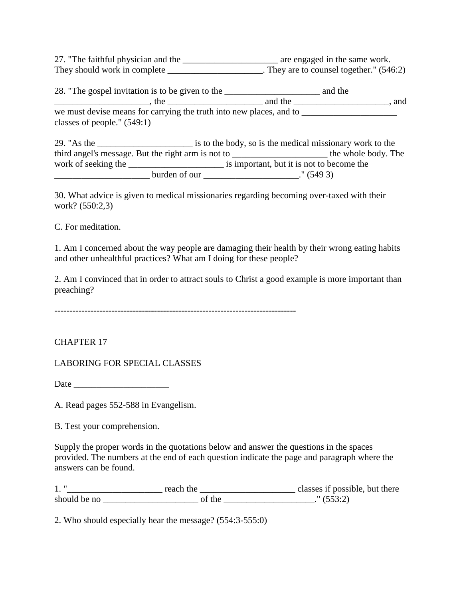27. "The faithful physician and the \_\_\_\_\_\_\_\_\_\_\_\_\_\_\_\_\_\_\_\_\_\_\_\_ are engaged in the same work. They should work in complete \_\_\_\_\_\_\_\_\_\_\_\_\_\_\_\_\_\_\_\_. They are to counsel together."  $(546:2)$ 

28. "The gospel invitation is to be given to the \_\_\_\_\_\_\_\_\_\_\_\_\_\_\_\_\_\_\_\_\_ and the  $\Box$ , the  $\Box$ , the  $\Box$  and the  $\Box$ 

we must devise means for carrying the truth into new places, and to \_\_\_\_\_\_\_\_\_\_\_\_\_\_\_\_\_\_\_\_\_ classes of people." (549:1)

| $29.$ "As the       |                                                    | is to the body, so is the medical missionary work to the |
|---------------------|----------------------------------------------------|----------------------------------------------------------|
|                     | third angel's message. But the right arm is not to | the whole body. The                                      |
| work of seeking the |                                                    | is important, but it is not to become the                |
|                     | burden of our                                      | (5493)                                                   |

30. What advice is given to medical missionaries regarding becoming over-taxed with their work? (550:2,3)

C. For meditation.

1. Am I concerned about the way people are damaging their health by their wrong eating habits and other unhealthful practices? What am I doing for these people?

2. Am I convinced that in order to attract souls to Christ a good example is more important than preaching?

CHAPTER 17

LABORING FOR SPECIAL CLASSES

Date  $\Box$ 

A. Read pages 552-588 in Evangelism.

B. Test your comprehension.

Supply the proper words in the quotations below and answer the questions in the spaces provided. The numbers at the end of each question indicate the page and paragraph where the answers can be found.

1. "\_\_\_\_\_\_\_\_\_\_\_\_\_\_\_\_\_\_\_\_\_ reach the \_\_\_\_\_\_\_\_\_\_\_\_\_\_\_\_\_\_\_\_\_ classes if possible, but there should be no  $\overline{\text{of the}}$  (553:2)

2. Who should especially hear the message? (554:3-555:0)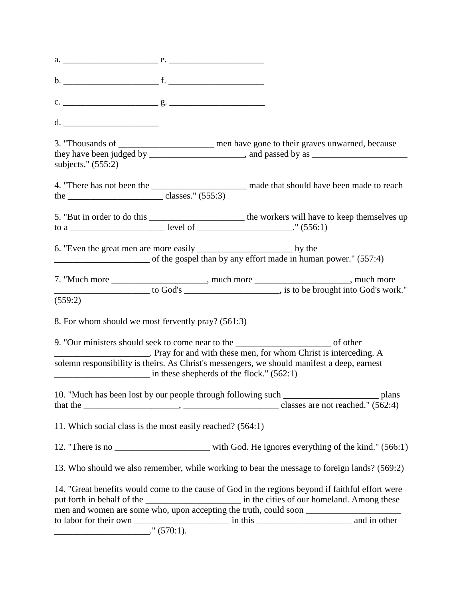| $d. \begin{tabular}{ c c c } \hline \multicolumn{3}{ c }{p} & \multicolumn{3}{ c }{p} \\ \multicolumn{3}{ c }{d} & \multicolumn{3}{ c }{p} \\ \hline \multicolumn{3}{ c }{d} & \multicolumn{3}{ c }{p} \\ \hline \multicolumn{3}{ c }{d} & \multicolumn{3}{ c }{p} \\ \hline \multicolumn{3}{ c }{d} & \multicolumn{3}{ c }{p} \\ \hline \multicolumn{3}{ c }{d} & \multicolumn{3}{ c }{p} \\ \hline \multicolumn{3}{ c }{d} & \multicolumn$ |  |                                                                                                                                                                      |
|----------------------------------------------------------------------------------------------------------------------------------------------------------------------------------------------------------------------------------------------------------------------------------------------------------------------------------------------------------------------------------------------------------------------------------------------|--|----------------------------------------------------------------------------------------------------------------------------------------------------------------------|
| subjects." $(555:2)$                                                                                                                                                                                                                                                                                                                                                                                                                         |  | 3. "Thousands of _______________________ men have gone to their graves unwarned, because                                                                             |
| the $\frac{\ }{\ }$ classes." (555:3)                                                                                                                                                                                                                                                                                                                                                                                                        |  | 4. "There has not been the ________________________ made that should have been made to reach                                                                         |
|                                                                                                                                                                                                                                                                                                                                                                                                                                              |  |                                                                                                                                                                      |
|                                                                                                                                                                                                                                                                                                                                                                                                                                              |  | of the gospel than by any effort made in human power." (557:4)                                                                                                       |
|                                                                                                                                                                                                                                                                                                                                                                                                                                              |  |                                                                                                                                                                      |
| (559:2)                                                                                                                                                                                                                                                                                                                                                                                                                                      |  |                                                                                                                                                                      |
| 8. For whom should we most fervently pray? (561:3)                                                                                                                                                                                                                                                                                                                                                                                           |  |                                                                                                                                                                      |
| 9. "Our ministers should seek to come near to the ______________________________ of other                                                                                                                                                                                                                                                                                                                                                    |  | Pray for and with these men, for whom Christ is interceding. A                                                                                                       |
| $\frac{1}{1}$ in these shepherds of the flock." (562:1)                                                                                                                                                                                                                                                                                                                                                                                      |  | solemn responsibility is theirs. As Christ's messengers, we should manifest a deep, earnest                                                                          |
|                                                                                                                                                                                                                                                                                                                                                                                                                                              |  |                                                                                                                                                                      |
| 11. Which social class is the most easily reached? (564:1)                                                                                                                                                                                                                                                                                                                                                                                   |  |                                                                                                                                                                      |
|                                                                                                                                                                                                                                                                                                                                                                                                                                              |  | 12. "There is no ________________________ with God. He ignores everything of the kind." (566:1)                                                                      |
|                                                                                                                                                                                                                                                                                                                                                                                                                                              |  | 13. Who should we also remember, while working to bear the message to foreign lands? (569:2)                                                                         |
|                                                                                                                                                                                                                                                                                                                                                                                                                                              |  | 14. "Great benefits would come to the cause of God in the regions beyond if faithful effort were<br>men and women are some who, upon accepting the truth, could soon |
|                                                                                                                                                                                                                                                                                                                                                                                                                                              |  |                                                                                                                                                                      |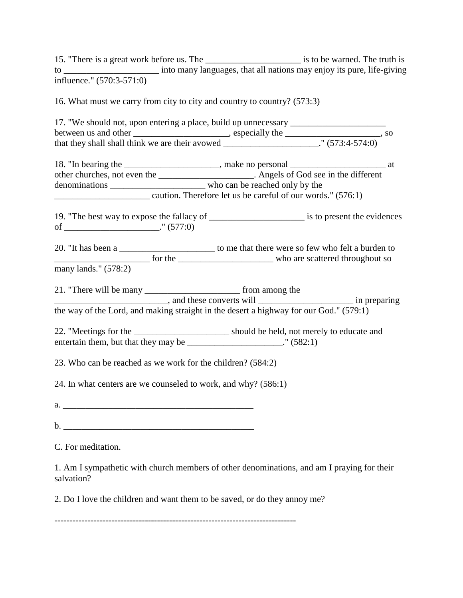15. "There is a great work before us. The \_\_\_\_\_\_\_\_\_\_\_\_\_\_\_\_\_\_\_\_\_\_\_\_ is to be warned. The truth is to \_\_\_\_\_\_\_\_\_\_\_\_\_\_\_\_\_\_\_\_\_ into many languages, that all nations may enjoy its pure, life-giving influence." (570:3-571:0)

16. What must we carry from city to city and country to country? (573:3)

17. "We should not, upon entering a place, build up unnecessary between us and other \_\_\_\_\_\_\_\_\_\_\_\_\_\_\_\_\_\_\_, especially the \_\_\_\_\_\_\_\_\_\_\_\_\_\_\_\_\_, so that they shall shall think we are their avowed  $\frac{1}{\sqrt{1-\frac{1}{2}}}\$ . (573:4-574:0) 18. "In bearing the \_\_\_\_\_\_\_\_\_\_\_\_\_\_\_\_\_\_, make no personal \_\_\_\_\_\_\_\_\_\_\_\_\_\_\_\_\_\_\_\_\_\_\_ at other churches, not even the \_\_\_\_\_\_\_\_\_\_\_\_\_\_\_\_\_\_\_\_\_. Angels of God see in the different denominations \_\_\_\_\_\_\_\_\_\_\_\_\_\_\_\_\_\_\_\_\_ who can be reached only by the \_\_\_\_\_\_\_\_\_\_\_\_\_\_\_\_\_\_\_\_\_ caution. Therefore let us be careful of our words." (576:1) 19. "The best way to expose the fallacy of \_\_\_\_\_\_\_\_\_\_\_\_\_\_\_\_\_\_\_\_\_ is to present the evidences of \_\_\_\_\_\_\_\_\_\_\_\_\_\_\_\_\_\_\_\_\_."  $(577:0)$ 20. "It has been a \_\_\_\_\_\_\_\_\_\_\_\_\_\_\_\_\_\_\_\_\_\_\_\_ to me that there were so few who felt a burden to \_\_\_\_\_\_\_\_\_\_\_\_\_\_\_\_\_\_\_\_\_ for the \_\_\_\_\_\_\_\_\_\_\_\_\_\_\_\_\_\_\_\_\_ who are scattered throughout so many lands." (578:2) 21. "There will be many \_\_\_\_\_\_\_\_\_\_\_\_\_\_\_\_\_\_\_\_\_\_\_\_\_\_\_ from among the \_\_\_\_\_\_\_\_\_\_\_\_\_\_\_\_\_\_\_\_\_\_\_\_\_, and these converts will \_\_\_\_\_\_\_\_\_\_\_\_\_\_\_\_\_\_\_\_\_ in preparing the way of the Lord, and making straight in the desert a highway for our God." (579:1) 22. "Meetings for the \_\_\_\_\_\_\_\_\_\_\_\_\_\_\_\_\_\_\_\_\_\_\_ should be held, not merely to educate and entertain them, but that they may be  $\hspace{1.5cm}$  " (582:1) 23. Who can be reached as we work for the children? (584:2) 24. In what centers are we counseled to work, and why? (586:1)  $a.$  $\mathbf{b}$ . C. For meditation.

1. Am I sympathetic with church members of other denominations, and am I praying for their salvation?

2. Do I love the children and want them to be saved, or do they annoy me?

--------------------------------------------------------------------------------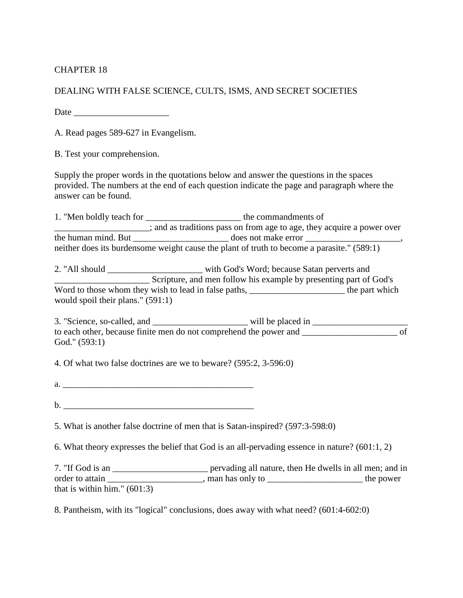## CHAPTER 18

DEALING WITH FALSE SCIENCE, CULTS, ISMS, AND SECRET SOCIETIES

Date  $\Box$ 

A. Read pages 589-627 in Evangelism.

B. Test your comprehension.

Supply the proper words in the quotations below and answer the questions in the spaces provided. The numbers at the end of each question indicate the page and paragraph where the answer can be found.

1. "Men boldly teach for \_\_\_\_\_\_\_\_\_\_\_\_\_\_\_\_\_\_\_\_\_ the commandments of and as traditions pass on from age to age, they acquire a power over the human mind. But does not make error neither does its burdensome weight cause the plant of truth to become a parasite." (589:1)

2. "All should \_\_\_\_\_\_\_\_\_\_\_\_\_\_\_\_\_\_\_\_\_ with God's Word; because Satan perverts and \_\_\_\_\_\_\_\_\_\_\_\_\_\_\_\_\_\_\_\_\_ Scripture, and men follow his example by presenting part of God's Word to those whom they wish to lead in false paths, \_\_\_\_\_\_\_\_\_\_\_\_\_\_\_\_\_\_\_\_\_\_\_\_\_\_\_ the part which would spoil their plans." (591:1)

3. "Science, so-called, and \_\_\_\_\_\_\_\_\_\_\_\_\_\_\_\_\_\_\_\_\_ will be placed in \_\_\_\_\_\_\_\_\_\_\_\_\_\_\_\_\_\_\_\_\_ to each other, because finite men do not comprehend the power and \_\_\_\_\_\_\_\_\_\_\_\_\_\_\_\_\_\_\_\_\_\_\_ of God." (593:1)

4. Of what two false doctrines are we to beware? (595:2, 3-596:0)

 $a.$ 

 $\mathbf{b}$ .

5. What is another false doctrine of men that is Satan-inspired? (597:3-598:0)

6. What theory expresses the belief that God is an all-pervading essence in nature? (601:1, 2)

7. "If God is an \_\_\_\_\_\_\_\_\_\_\_\_\_\_\_\_\_\_\_\_\_ pervading all nature, then He dwells in all men; and in order to attain \_\_\_\_\_\_\_\_\_\_\_\_\_\_\_\_\_\_\_\_\_, man has only to \_\_\_\_\_\_\_\_\_\_\_\_\_\_\_\_\_\_\_\_\_\_\_\_ the power that is within him." (601:3)

8. Pantheism, with its "logical" conclusions, does away with what need? (601:4-602:0)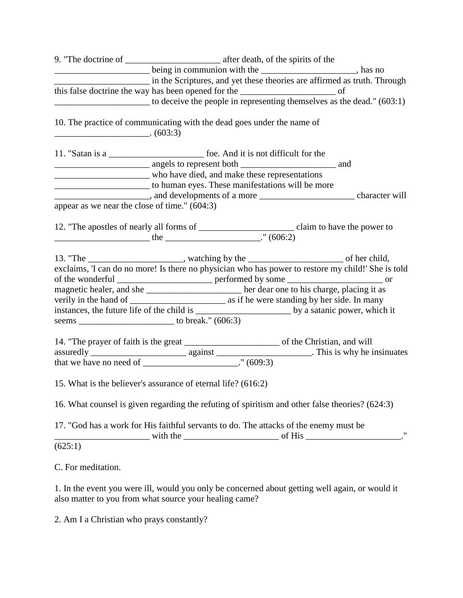|                                                 | being in communion with the ______________________, has no<br>in the Scriptures, and yet these theories are affirmed as truth. Through |                   |  |
|-------------------------------------------------|----------------------------------------------------------------------------------------------------------------------------------------|-------------------|--|
|                                                 |                                                                                                                                        |                   |  |
|                                                 | to deceive the people in representing themselves as the dead." (603:1)                                                                 |                   |  |
| $\overline{\phantom{a} \phantom{a}}$ (603:3)    | 10. The practice of communicating with the dead goes under the name of                                                                 |                   |  |
|                                                 | 11. "Satan is a ________________________________ foe. And it is not difficult for the                                                  |                   |  |
|                                                 |                                                                                                                                        |                   |  |
|                                                 | who have died, and make these representations                                                                                          |                   |  |
|                                                 | 10 to human eyes. These manifestations will be more                                                                                    |                   |  |
|                                                 |                                                                                                                                        |                   |  |
| appear as we near the close of time." $(604:3)$ |                                                                                                                                        |                   |  |
|                                                 |                                                                                                                                        |                   |  |
|                                                 | 13. "The ______________________, watching by the __________________________ of her child,                                              |                   |  |
|                                                 | exclaims, 'I can do no more! Is there no physician who has power to restore my child!' She is told                                     |                   |  |
|                                                 |                                                                                                                                        |                   |  |
|                                                 | magnetic healer, and she ______________________ her dear one to his charge, placing it as                                              |                   |  |
|                                                 |                                                                                                                                        |                   |  |
|                                                 |                                                                                                                                        |                   |  |
|                                                 |                                                                                                                                        |                   |  |
|                                                 |                                                                                                                                        |                   |  |
|                                                 |                                                                                                                                        |                   |  |
|                                                 | that we have no need of ________________________." $(609:3)$                                                                           |                   |  |
|                                                 | 15. What is the believer's assurance of eternal life? (616:2)                                                                          |                   |  |
|                                                 | 16. What counsel is given regarding the refuting of spiritism and other false theories? (624:3)                                        |                   |  |
|                                                 | 17. "God has a work for His faithful servants to do. The attacks of the enemy must be<br>with the with the service of His              | $^{\prime\prime}$ |  |
| (625:1)                                         |                                                                                                                                        |                   |  |

C. For meditation.

1. In the event you were ill, would you only be concerned about getting well again, or would it also matter to you from what source your healing came?

2. Am I a Christian who prays constantly?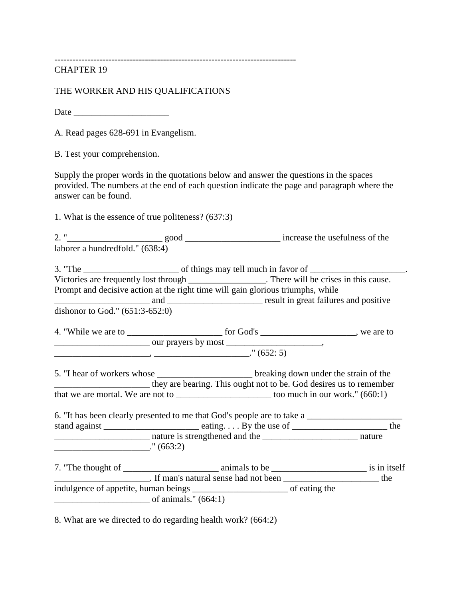--------------------------------------------------------------------------------

CHAPTER 19

THE WORKER AND HIS QUALIFICATIONS

Date  $\Box$ 

A. Read pages 628-691 in Evangelism.

B. Test your comprehension.

Supply the proper words in the quotations below and answer the questions in the spaces provided. The numbers at the end of each question indicate the page and paragraph where the answer can be found.

1. What is the essence of true politeness? (637:3)

2. "\_\_\_\_\_\_\_\_\_\_\_\_\_\_\_\_\_\_\_\_\_ good \_\_\_\_\_\_\_\_\_\_\_\_\_\_\_\_\_\_\_\_\_ increase the usefulness of the laborer a hundredfold." (638:4)

3. "The \_\_\_\_\_\_\_\_\_\_\_\_\_\_\_\_\_\_\_\_\_ of things may tell much in favor of \_\_\_\_\_\_\_\_\_\_\_\_\_\_\_\_\_\_\_\_\_. Victories are frequently lost through \_\_\_\_\_\_\_\_\_\_\_\_\_\_\_. There will be crises in this cause. Prompt and decisive action at the right time will gain glorious triumphs, while \_\_\_\_\_\_\_\_\_\_\_\_\_\_\_\_\_\_\_\_\_ and \_\_\_\_\_\_\_\_\_\_\_\_\_\_\_\_\_\_\_\_\_ result in great failures and positive dishonor to God." (651:3-652:0)

4. "While we are to \_\_\_\_\_\_\_\_\_\_\_\_\_\_\_\_\_\_\_\_\_\_\_\_\_\_ for God's \_\_\_\_\_\_\_\_\_\_\_\_\_\_\_\_\_\_\_\_\_, we are to \_\_\_\_\_\_\_\_\_\_\_\_\_\_\_\_\_\_\_\_\_ our prayers by most \_\_\_\_\_\_\_\_\_\_\_\_\_\_\_\_\_\_\_\_\_,  $\frac{1}{2}$   $\frac{1}{2}$   $\frac{1}{2}$   $\frac{1}{2}$   $\frac{1}{2}$   $\frac{1}{2}$   $\frac{1}{2}$   $\frac{1}{2}$   $\frac{1}{2}$   $\frac{1}{2}$   $\frac{1}{2}$   $\frac{1}{2}$   $\frac{1}{2}$   $\frac{1}{2}$   $\frac{1}{2}$   $\frac{1}{2}$   $\frac{1}{2}$   $\frac{1}{2}$   $\frac{1}{2}$   $\frac{1}{2}$   $\frac{1}{2}$   $\frac{1}{2}$ 

5. "I hear of workers whose \_\_\_\_\_\_\_\_\_\_\_\_\_\_\_\_\_\_\_\_\_\_\_\_\_\_ breaking down under the strain of the \_\_\_\_\_\_\_\_\_\_\_\_\_\_\_\_\_\_\_\_\_ they are bearing. This ought not to be. God desires us to remember that we are mortal. We are not to  $\frac{1}{2}$  too much in our work." (660:1)

6. "It has been clearly presented to me that God's people are to take a \_\_\_\_\_\_\_\_\_\_\_\_\_\_\_\_\_\_\_\_\_ stand against \_\_\_\_\_\_\_\_\_\_\_\_\_\_\_\_\_\_\_\_\_\_\_\_\_\_ eating. . . . By the use of \_\_\_\_\_\_\_\_\_\_\_\_\_\_\_\_\_\_\_\_\_\_\_\_\_\_\_\_\_\_\_ the \_\_\_\_\_\_\_\_\_\_\_\_\_\_\_\_\_\_\_\_\_ nature is strengthened and the \_\_\_\_\_\_\_\_\_\_\_\_\_\_\_\_\_\_\_\_\_ nature  $\frac{1}{2}$  (663:2)

7. "The thought of \_\_\_\_\_\_\_\_\_\_\_\_\_\_\_\_\_\_\_\_\_ animals to be \_\_\_\_\_\_\_\_\_\_\_\_\_\_\_\_\_\_\_\_\_ is in itself \_\_\_\_\_\_\_\_\_\_\_\_\_\_\_\_\_\_\_\_\_. If man's natural sense had not been \_\_\_\_\_\_\_\_\_\_\_\_\_\_\_\_\_\_\_\_\_ the indulgence of appetite, human beings \_\_\_\_\_\_\_\_\_\_\_\_\_\_\_\_\_\_\_\_\_ of eating the  $\sigma$  f animals." (664:1)

8. What are we directed to do regarding health work? (664:2)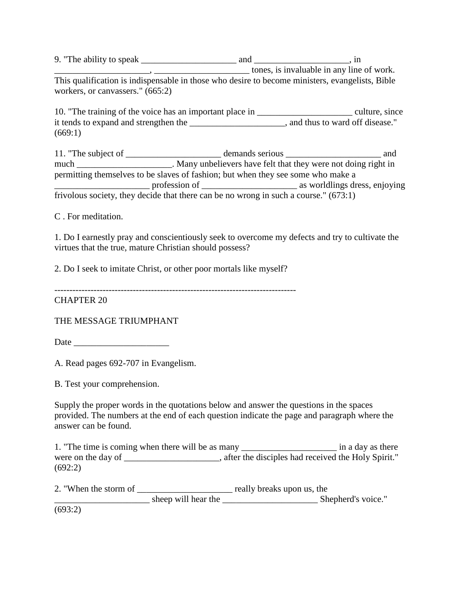9. "The ability to speak \_\_\_\_\_\_\_\_\_\_\_\_\_\_\_\_\_\_\_\_\_ and \_\_\_\_\_\_\_\_\_\_\_\_\_\_\_\_\_\_\_\_\_, in  $\frac{1}{2}$  tones, is invaluable in any line of work. This qualification is indispensable in those who desire to become ministers, evangelists, Bible workers, or canvassers." (665:2)

10. "The training of the voice has an important place in \_\_\_\_\_\_\_\_\_\_\_\_\_\_\_\_\_\_\_\_\_\_\_ culture, since it tends to expand and strengthen the \_\_\_\_\_\_\_\_\_\_\_\_\_\_\_\_\_\_\_\_, and thus to ward off disease." (669:1)

11. "The subject of \_\_\_\_\_\_\_\_\_\_\_\_\_\_\_\_\_\_\_\_\_\_ demands serious \_\_\_\_\_\_\_\_\_\_\_\_\_\_\_\_\_\_\_\_\_ and much \_\_\_\_\_\_\_\_\_\_\_\_\_\_\_\_\_\_\_\_\_. Many unbelievers have felt that they were not doing right in permitting themselves to be slaves of fashion; but when they see some who make a \_\_\_\_\_\_\_\_\_\_\_\_\_\_\_\_\_\_\_\_\_ profession of \_\_\_\_\_\_\_\_\_\_\_\_\_\_\_\_\_\_\_\_\_ as worldlings dress, enjoying frivolous society, they decide that there can be no wrong in such a course." (673:1)

C . For meditation.

1. Do I earnestly pray and conscientiously seek to overcome my defects and try to cultivate the virtues that the true, mature Christian should possess?

2. Do I seek to imitate Christ, or other poor mortals like myself?

CHAPTER 20

THE MESSAGE TRIUMPHANT

Date \_\_\_\_\_\_\_\_\_\_\_\_\_\_\_\_\_\_\_\_\_

A. Read pages 692-707 in Evangelism.

B. Test your comprehension.

Supply the proper words in the quotations below and answer the questions in the spaces provided. The numbers at the end of each question indicate the page and paragraph where the answer can be found.

1. "The time is coming when there will be as many \_\_\_\_\_\_\_\_\_\_\_\_\_\_\_\_\_\_\_\_\_ in a day as there were on the day of  $\blacksquare$ , after the disciples had received the Holy Spirit." (692:2)

2. "When the storm of \_\_\_\_\_\_\_\_\_\_\_\_\_\_\_\_\_\_\_\_\_\_\_ really breaks upon us, the sheep will hear the Shepherd's voice." (693:2)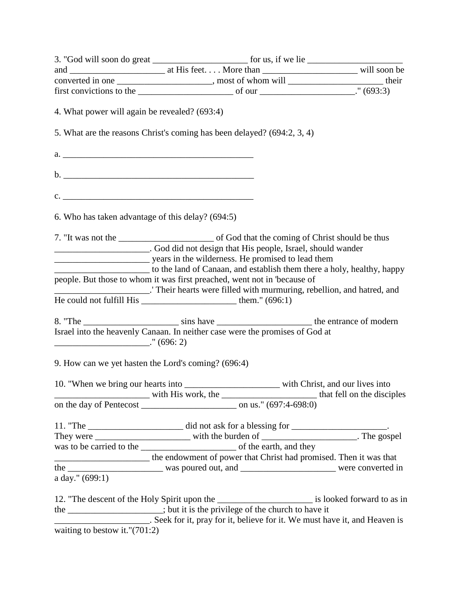| 4. What power will again be revealed? (693:4)                                                                                                                                                                                                                                                     |  |
|---------------------------------------------------------------------------------------------------------------------------------------------------------------------------------------------------------------------------------------------------------------------------------------------------|--|
| 5. What are the reasons Christ's coming has been delayed? (694:2, 3, 4)                                                                                                                                                                                                                           |  |
|                                                                                                                                                                                                                                                                                                   |  |
|                                                                                                                                                                                                                                                                                                   |  |
|                                                                                                                                                                                                                                                                                                   |  |
| c.                                                                                                                                                                                                                                                                                                |  |
| 6. Who has taken advantage of this delay? (694:5)                                                                                                                                                                                                                                                 |  |
|                                                                                                                                                                                                                                                                                                   |  |
| __________________________. God did not design that His people, Israel, should wander                                                                                                                                                                                                             |  |
|                                                                                                                                                                                                                                                                                                   |  |
| to the land of Canaan, and establish them there a holy, healthy, happy                                                                                                                                                                                                                            |  |
| people. But those to whom it was first preached, went not in 'because of                                                                                                                                                                                                                          |  |
| Their hearts were filled with murmuring, rebellion, and hatred, and                                                                                                                                                                                                                               |  |
| He could not fulfill His $\frac{1}{1}$ = $\frac{1}{1}$ = $\frac{1}{1}$ = $\frac{1}{1}$ = $\frac{1}{1}$ = $\frac{1}{1}$ = $\frac{1}{1}$ = $\frac{1}{1}$ = $\frac{1}{1}$ = $\frac{1}{1}$ = $\frac{1}{1}$ = $\frac{1}{1}$ = $\frac{1}{1}$ = $\frac{1}{1}$ = $\frac{1}{1}$ = $\frac{1}{1}$ = $\frac{$ |  |
|                                                                                                                                                                                                                                                                                                   |  |
| Israel into the heavenly Canaan. In neither case were the promises of God at                                                                                                                                                                                                                      |  |
| $\frac{1}{1}$ (696: 2)                                                                                                                                                                                                                                                                            |  |
|                                                                                                                                                                                                                                                                                                   |  |
| 9. How can we yet hasten the Lord's coming? (696:4)                                                                                                                                                                                                                                               |  |
| 10. "When we bring our hearts into _______________________ with Christ, and our lives into                                                                                                                                                                                                        |  |
|                                                                                                                                                                                                                                                                                                   |  |
|                                                                                                                                                                                                                                                                                                   |  |
|                                                                                                                                                                                                                                                                                                   |  |
|                                                                                                                                                                                                                                                                                                   |  |
|                                                                                                                                                                                                                                                                                                   |  |
|                                                                                                                                                                                                                                                                                                   |  |
| ___________________________ the endowment of power that Christ had promised. Then it was that                                                                                                                                                                                                     |  |
|                                                                                                                                                                                                                                                                                                   |  |
| a day." (699:1)                                                                                                                                                                                                                                                                                   |  |
|                                                                                                                                                                                                                                                                                                   |  |
| the ________________; but it is the privilege of the church to have it                                                                                                                                                                                                                            |  |
| Seek for it, pray for it, believe for it. We must have it, and Heaven is                                                                                                                                                                                                                          |  |
| waiting to bestow it."(701:2)                                                                                                                                                                                                                                                                     |  |
|                                                                                                                                                                                                                                                                                                   |  |